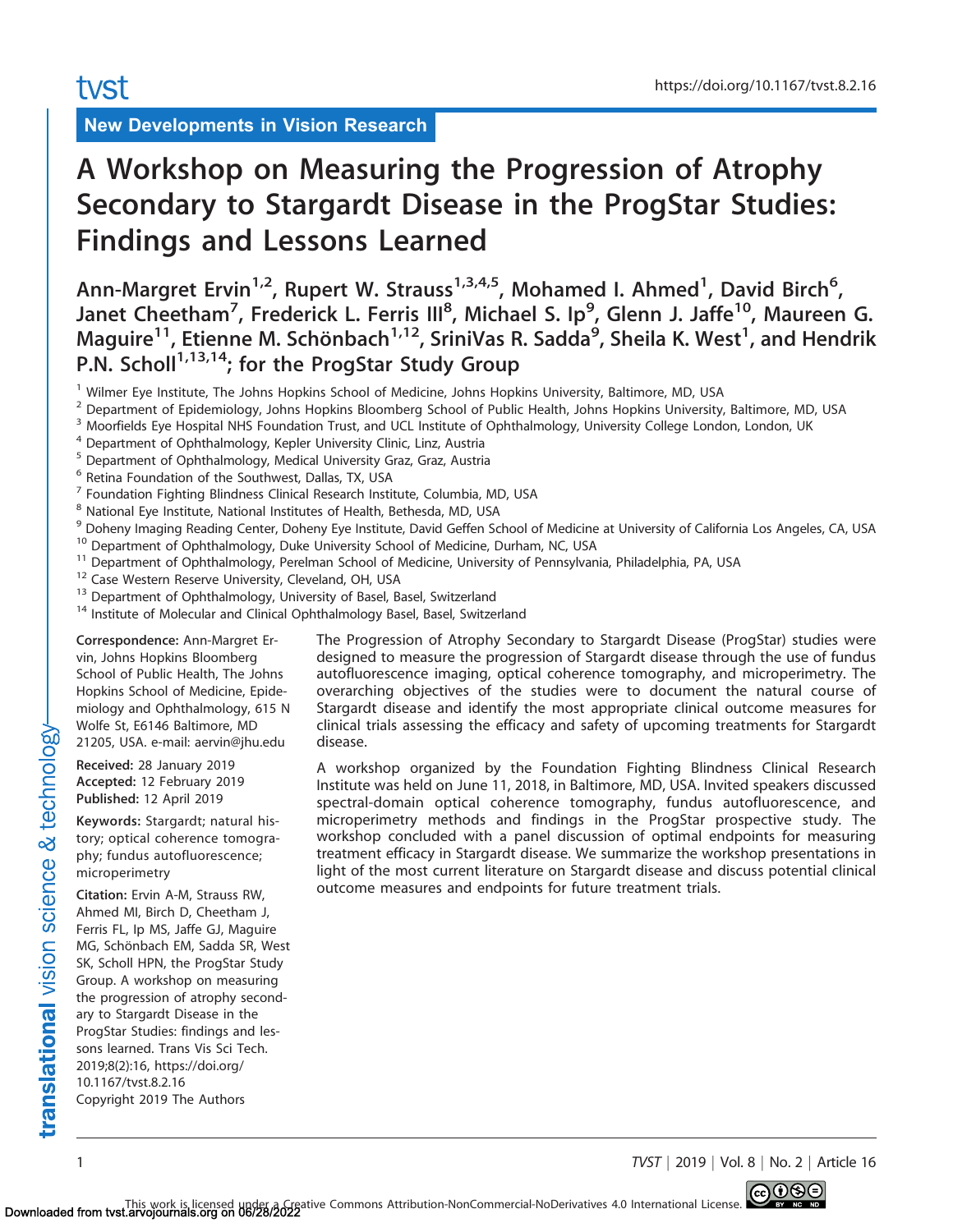New Developments in Vision Research

# A Workshop on Measuring the Progression of Atrophy Secondary to Stargardt Disease in the ProgStar Studies: Findings and Lessons Learned

Ann-Margret Ervin<sup>1,2</sup>, Rupert W. Strauss<sup>1,3,4,5</sup>, Mohamed I. Ahmed<sup>1</sup>, David Birch<sup>6</sup>, Janet Cheetham<sup>7</sup>, Frederick L. Ferris III<sup>8</sup>, Michael S. Ip<sup>9</sup>, Glenn J. Jaffe<sup>10</sup>, Maureen G. Maguire<sup>11</sup>, Etienne M. Schönbach<sup>1,12</sup>, SriniVas R. Sadda<sup>9</sup>, Sheila K. West<sup>1</sup>, and Hendrik P.N. Scholl<sup>1,13,14</sup>; for the ProgStar Study Group

- <sup>1</sup> Wilmer Eye Institute, The Johns Hopkins School of Medicine, Johns Hopkins University, Baltimore, MD, USA
- <sup>2</sup> Department of Epidemiology, Johns Hopkins Bloomberg School of Public Health, Johns Hopkins University, Baltimore, MD, USA
- <sup>3</sup> Moorfields Eye Hospital NHS Foundation Trust, and UCL Institute of Ophthalmology, University College London, London, UK
- <sup>4</sup> Department of Ophthalmology, Kepler University Clinic, Linz, Austria
- $5$  Department of Ophthalmology, Medical University Graz, Graz, Austria
- <sup>6</sup> Retina Foundation of the Southwest, Dallas, TX, USA
- <sup>7</sup> Foundation Fighting Blindness Clinical Research Institute, Columbia, MD, USA
- <sup>8</sup> National Eye Institute, National Institutes of Health, Bethesda, MD, USA
- <sup>9</sup> Doheny Imaging Reading Center, Doheny Eye Institute, David Geffen School of Medicine at University of California Los Angeles, CA, USA
- 
- <sup>10</sup> Department of Ophthalmology, Duke University School of Medicine, Durham, NC, USA<br><sup>11</sup> Department of Ophthalmology, Perelman School of Medicine, University of Pennsylvania, Philadelphia, PA, USA<br><sup>12</sup> Case Western Rese
- 
- 
- 

Correspondence: Ann-Margret Ervin, Johns Hopkins Bloomberg School of Public Health, The Johns Hopkins School of Medicine, Epidemiology and Ophthalmology, 615 N Wolfe St, E6146 Baltimore, MD 21205, USA. e-mail: aervin@jhu.edu

Received: 28 January 2019 Accepted: 12 February 2019 Published: 12 April 2019

Keywords: Stargardt; natural history; optical coherence tomography; fundus autofluorescence; microperimetry

Citation: Ervin A-M, Strauss RW, Ahmed MI, Birch D, Cheetham J, Ferris FL, Ip MS, Jaffe GJ, Maguire MG, Schönbach EM, Sadda SR, West SK, Scholl HPN, the ProgStar Study Group. A workshop on measuring the progression of atrophy secondary to Stargardt Disease in the ProgStar Studies: findings and lessons learned. Trans Vis Sci Tech. 2019;8(2):16, https://doi.org/ 10.1167/tvst.8.2.16 Copyright 2019 The Authors

The Progression of Atrophy Secondary to Stargardt Disease (ProgStar) studies were designed to measure the progression of Stargardt disease through the use of fundus autofluorescence imaging, optical coherence tomography, and microperimetry. The overarching objectives of the studies were to document the natural course of Stargardt disease and identify the most appropriate clinical outcome measures for clinical trials assessing the efficacy and safety of upcoming treatments for Stargardt disease.

A workshop organized by the Foundation Fighting Blindness Clinical Research Institute was held on June 11, 2018, in Baltimore, MD, USA. Invited speakers discussed spectral-domain optical coherence tomography, fundus autofluorescence, and microperimetry methods and findings in the ProgStar prospective study. The workshop concluded with a panel discussion of optimal endpoints for measuring treatment efficacy in Stargardt disease. We summarize the workshop presentations in light of the most current literature on Stargardt disease and discuss potential clinical outcome measures and endpoints for future treatment trials.

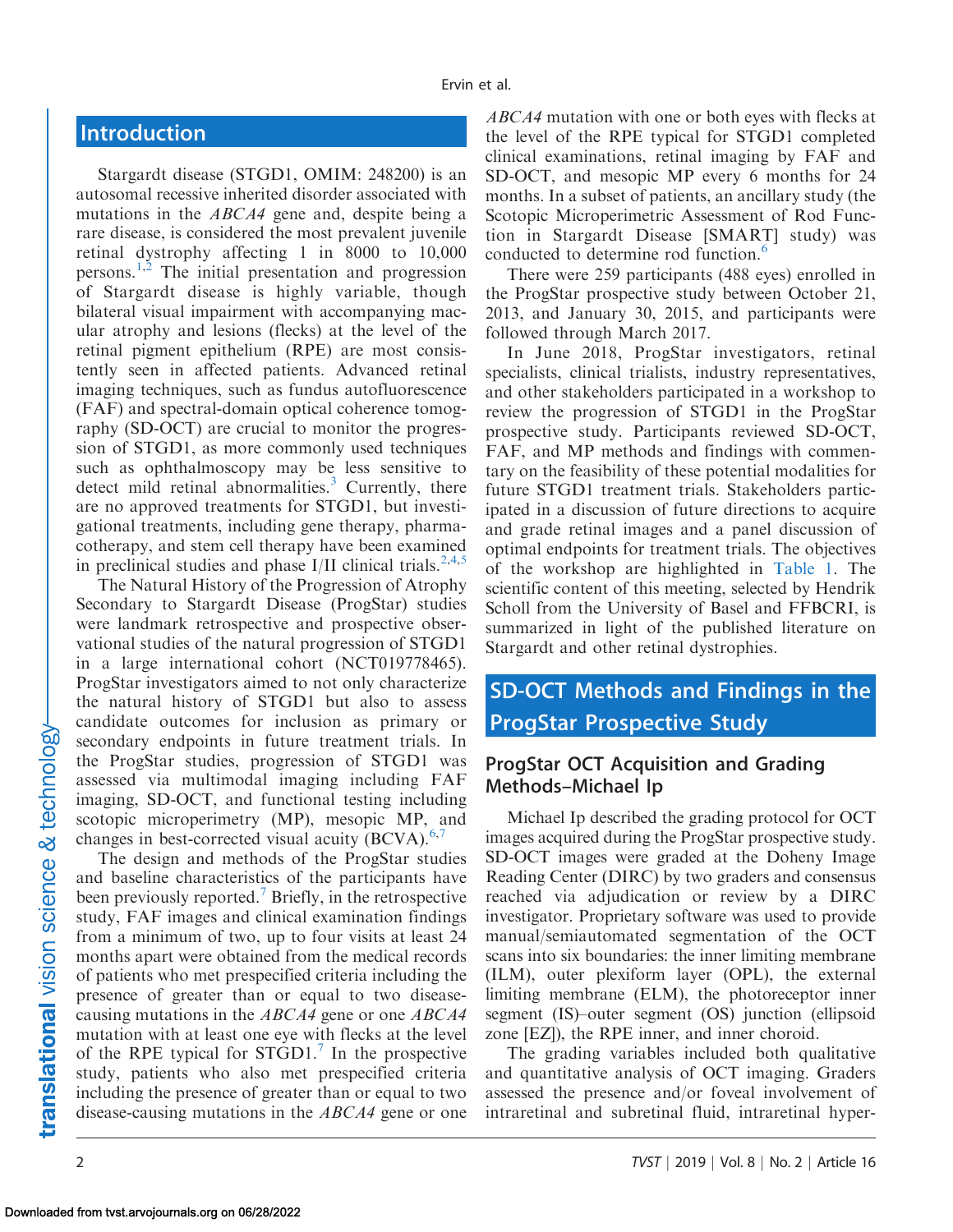## Introduction

Stargardt disease (STGD1, OMIM: 248200) is an autosomal recessive inherited disorder associated with mutations in the ABCA4 gene and, despite being a rare disease, is considered the most prevalent juvenile retinal dystrophy affecting 1 in 8000 to 10,000 persons.<sup>1,2</sup> The initial presentation and progression of Stargardt disease is highly variable, though bilateral visual impairment with accompanying macular atrophy and lesions (flecks) at the level of the retinal pigment epithelium (RPE) are most consistently seen in affected patients. Advanced retinal imaging techniques, such as fundus autofluorescence (FAF) and spectral-domain optical coherence tomography (SD-OCT) are crucial to monitor the progression of STGD1, as more commonly used techniques such as ophthalmoscopy may be less sensitive to detect mild retinal abnormalities.<sup>3</sup> Currently, there are no approved treatments for STGD1, but investigational treatments, including gene therapy, pharmacotherapy, and stem cell therapy have been examined in preclinical studies and phase I/II clinical trials.<sup>[2](#page-13-0),[4,5](#page-13-0)</sup>

The Natural History of the Progression of Atrophy Secondary to Stargardt Disease (ProgStar) studies were landmark retrospective and prospective observational studies of the natural progression of STGD1 in a large international cohort (NCT019778465). ProgStar investigators aimed to not only characterize the natural history of STGD1 but also to assess candidate outcomes for inclusion as primary or secondary endpoints in future treatment trials. In the ProgStar studies, progression of STGD1 was assessed via multimodal imaging including FAF imaging, SD-OCT, and functional testing including scotopic microperimetry (MP), mesopic MP, and changes in best-corrected visual acuity  $(BCVA)$ .<sup>[6,7](#page-13-0)</sup>

The design and methods of the ProgStar studies and baseline characteristics of the participants have been previously reported.<sup>[7](#page-13-0)</sup> Briefly, in the retrospective study, FAF images and clinical examination findings from a minimum of two, up to four visits at least 24 months apart were obtained from the medical records of patients who met prespecified criteria including the presence of greater than or equal to two diseasecausing mutations in the ABCA4 gene or one ABCA4 mutation with at least one eye with flecks at the level of the RPE typical for  $STGD1$ .<sup>[7](#page-13-0)</sup> In the prospective study, patients who also met prespecified criteria including the presence of greater than or equal to two disease-causing mutations in the *ABCA4* gene or one

ABCA4 mutation with one or both eyes with flecks at the level of the RPE typical for STGD1 completed clinical examinations, retinal imaging by FAF and SD-OCT, and mesopic MP every 6 months for 24 months. In a subset of patients, an ancillary study (the Scotopic Microperimetric Assessment of Rod Function in Stargardt Disease [SMART] study) was conducted to determine rod function.<sup>6</sup>

There were 259 participants (488 eyes) enrolled in the ProgStar prospective study between October 21, 2013, and January 30, 2015, and participants were followed through March 2017.

In June 2018, ProgStar investigators, retinal specialists, clinical trialists, industry representatives, and other stakeholders participated in a workshop to review the progression of STGD1 in the ProgStar prospective study. Participants reviewed SD-OCT, FAF, and MP methods and findings with commentary on the feasibility of these potential modalities for future STGD1 treatment trials. Stakeholders participated in a discussion of future directions to acquire and grade retinal images and a panel discussion of optimal endpoints for treatment trials. The objectives of the workshop are highlighted in [Table 1](#page-2-0). The scientific content of this meeting, selected by Hendrik Scholl from the University of Basel and FFBCRI, is summarized in light of the published literature on Stargardt and other retinal dystrophies.

## SD-OCT Methods and Findings in the ProgStar Prospective Study

## ProgStar OCT Acquisition and Grading Methods–Michael Ip

Michael Ip described the grading protocol for OCT images acquired during the ProgStar prospective study. SD-OCT images were graded at the Doheny Image Reading Center (DIRC) by two graders and consensus reached via adjudication or review by a DIRC investigator. Proprietary software was used to provide manual/semiautomated segmentation of the OCT scans into six boundaries: the inner limiting membrane (ILM), outer plexiform layer (OPL), the external limiting membrane (ELM), the photoreceptor inner segment (IS)–outer segment (OS) junction (ellipsoid zone [EZ]), the RPE inner, and inner choroid.

The grading variables included both qualitative and quantitative analysis of OCT imaging. Graders assessed the presence and/or foveal involvement of intraretinal and subretinal fluid, intraretinal hyper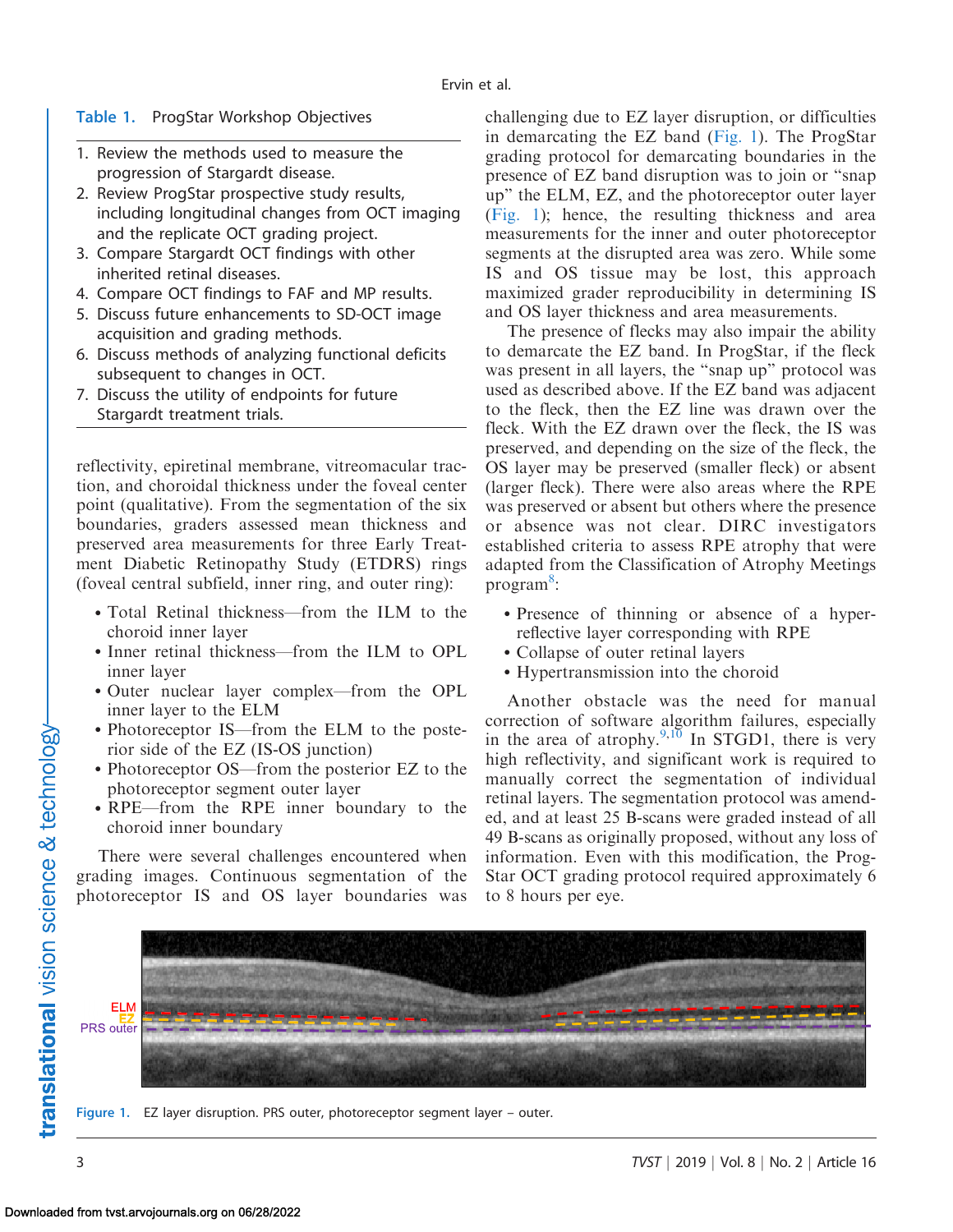<span id="page-2-0"></span>Table 1. ProgStar Workshop Objectives

- 1. Review the methods used to measure the progression of Stargardt disease.
- 2. Review ProgStar prospective study results, including longitudinal changes from OCT imaging and the replicate OCT grading project.
- 3. Compare Stargardt OCT findings with other inherited retinal diseases.
- 4. Compare OCT findings to FAF and MP results.
- 5. Discuss future enhancements to SD-OCT image acquisition and grading methods.
- 6. Discuss methods of analyzing functional deficits subsequent to changes in OCT.
- 7. Discuss the utility of endpoints for future Stargardt treatment trials.

reflectivity, epiretinal membrane, vitreomacular traction, and choroidal thickness under the foveal center point (qualitative). From the segmentation of the six boundaries, graders assessed mean thickness and preserved area measurements for three Early Treatment Diabetic Retinopathy Study (ETDRS) rings (foveal central subfield, inner ring, and outer ring):

- Total Retinal thickness—from the ILM to the choroid inner layer
- Inner retinal thickness—from the ILM to OPL inner layer
- Outer nuclear layer complex—from the OPL inner layer to the ELM
- Photoreceptor IS—from the ELM to the posterior side of the EZ (IS-OS junction)
- Photoreceptor OS—from the posterior EZ to the photoreceptor segment outer layer
- RPE—from the RPE inner boundary to the choroid inner boundary

There were several challenges encountered when grading images. Continuous segmentation of the photoreceptor IS and OS layer boundaries was challenging due to EZ layer disruption, or difficulties in demarcating the EZ band (Fig. 1). The ProgStar grading protocol for demarcating boundaries in the presence of EZ band disruption was to join or ''snap up'' the ELM, EZ, and the photoreceptor outer layer (Fig. 1); hence, the resulting thickness and area measurements for the inner and outer photoreceptor segments at the disrupted area was zero. While some IS and OS tissue may be lost, this approach maximized grader reproducibility in determining IS and OS layer thickness and area measurements.

The presence of flecks may also impair the ability to demarcate the EZ band. In ProgStar, if the fleck was present in all layers, the "snap up" protocol was used as described above. If the EZ band was adjacent to the fleck, then the EZ line was drawn over the fleck. With the EZ drawn over the fleck, the IS was preserved, and depending on the size of the fleck, the OS layer may be preserved (smaller fleck) or absent (larger fleck). There were also areas where the RPE was preserved or absent but others where the presence or absence was not clear. DIRC investigators established criteria to assess RPE atrophy that were adapted from the Classification of Atrophy Meetings program<sup>[8](#page-13-0)</sup>:

- Presence of thinning or absence of a hyperreflective layer corresponding with RPE
- Collapse of outer retinal layers
- Hypertransmission into the choroid

Another obstacle was the need for manual correction of software algorithm failures, especially in the area of atrophy. $9,10$  $9,10$  In STGD1, there is very high reflectivity, and significant work is required to manually correct the segmentation of individual retinal layers. The segmentation protocol was amended, and at least 25 B-scans were graded instead of all 49 B-scans as originally proposed, without any loss of information. Even with this modification, the Prog-Star OCT grading protocol required approximately 6 to 8 hours per eye.



Figure 1. EZ layer disruption. PRS outer, photoreceptor segment layer - outer.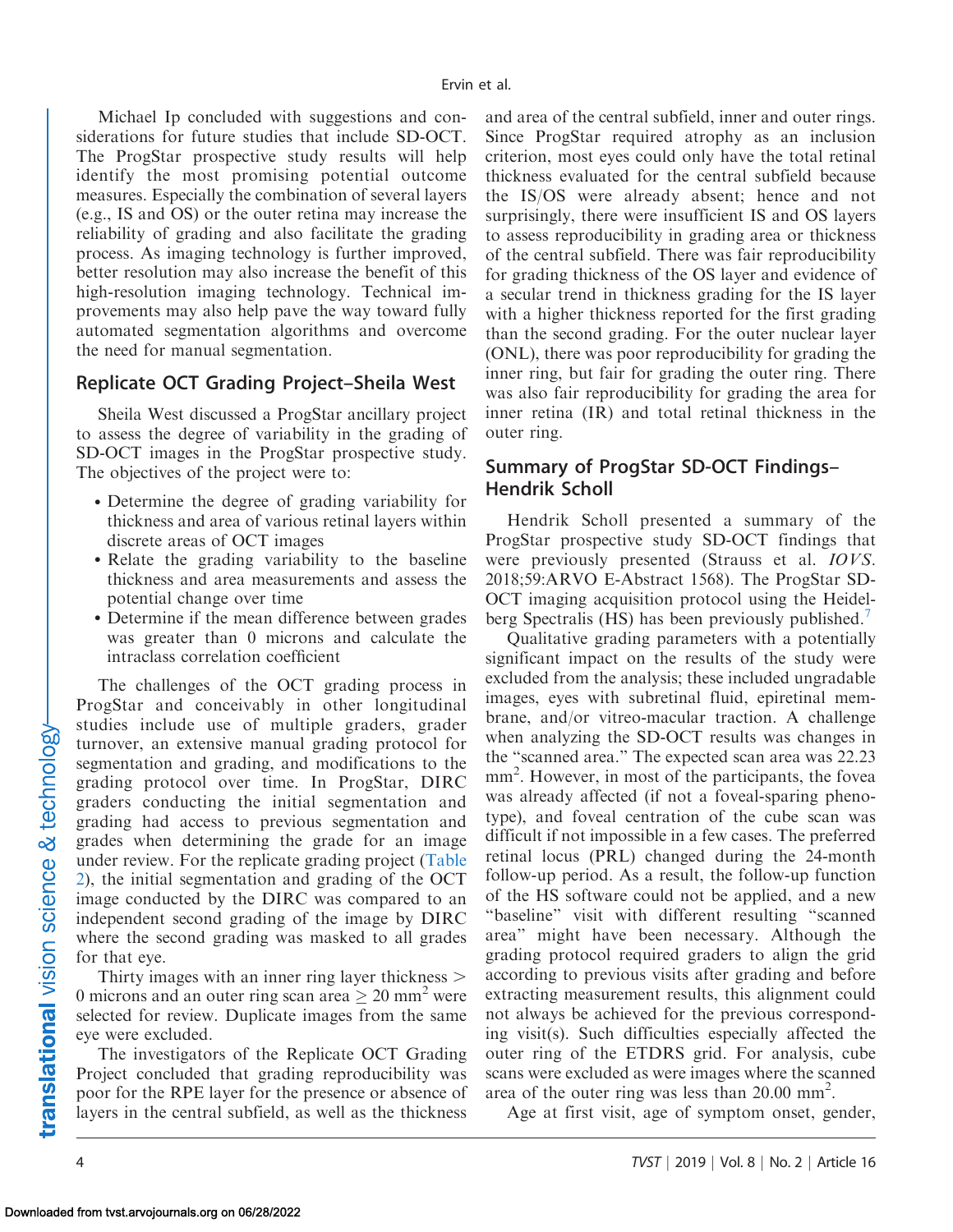Michael Ip concluded with suggestions and considerations for future studies that include SD-OCT. The ProgStar prospective study results will help identify the most promising potential outcome measures. Especially the combination of several layers (e.g., IS and OS) or the outer retina may increase the reliability of grading and also facilitate the grading process. As imaging technology is further improved, better resolution may also increase the benefit of this high-resolution imaging technology. Technical improvements may also help pave the way toward fully automated segmentation algorithms and overcome the need for manual segmentation.

#### Replicate OCT Grading Project–Sheila West

Sheila West discussed a ProgStar ancillary project to assess the degree of variability in the grading of SD-OCT images in the ProgStar prospective study. The objectives of the project were to:

- Determine the degree of grading variability for thickness and area of various retinal layers within discrete areas of OCT images
- Relate the grading variability to the baseline thickness and area measurements and assess the potential change over time
- Determine if the mean difference between grades was greater than 0 microns and calculate the intraclass correlation coefficient

The challenges of the OCT grading process in ProgStar and conceivably in other longitudinal studies include use of multiple graders, grader turnover, an extensive manual grading protocol for segmentation and grading, and modifications to the grading protocol over time. In ProgStar, DIRC graders conducting the initial segmentation and grading had access to previous segmentation and grades when determining the grade for an image under review. For the replicate grading project [\(Table](#page-4-0) [2](#page-4-0)), the initial segmentation and grading of the OCT image conducted by the DIRC was compared to an independent second grading of the image by DIRC where the second grading was masked to all grades for that eye.

Thirty images with an inner ring layer thickness  $>$ 0 microns and an outer ring scan area  $\geq 20$  mm<sup>2</sup> were selected for review. Duplicate images from the same eye were excluded.

The investigators of the Replicate OCT Grading Project concluded that grading reproducibility was poor for the RPE layer for the presence or absence of layers in the central subfield, as well as the thickness

and area of the central subfield, inner and outer rings. Since ProgStar required atrophy as an inclusion criterion, most eyes could only have the total retinal thickness evaluated for the central subfield because the IS/OS were already absent; hence and not surprisingly, there were insufficient IS and OS layers to assess reproducibility in grading area or thickness of the central subfield. There was fair reproducibility for grading thickness of the OS layer and evidence of a secular trend in thickness grading for the IS layer with a higher thickness reported for the first grading than the second grading. For the outer nuclear layer (ONL), there was poor reproducibility for grading the inner ring, but fair for grading the outer ring. There was also fair reproducibility for grading the area for inner retina (IR) and total retinal thickness in the outer ring.

## Summary of ProgStar SD-OCT Findings– Hendrik Scholl

Hendrik Scholl presented a summary of the ProgStar prospective study SD-OCT findings that were previously presented (Strauss et al. IOVS. 2018;59:ARVO E-Abstract 1568). The ProgStar SD-OCT imaging acquisition protocol using the Heidel-berg Spectralis (HS) has been previously published.<sup>[7](#page-13-0)</sup>

Qualitative grading parameters with a potentially significant impact on the results of the study were excluded from the analysis; these included ungradable images, eyes with subretinal fluid, epiretinal membrane, and/or vitreo-macular traction. A challenge when analyzing the SD-OCT results was changes in the ''scanned area.'' The expected scan area was 22.23 mm<sup>2</sup>. However, in most of the participants, the fovea was already affected (if not a foveal-sparing phenotype), and foveal centration of the cube scan was difficult if not impossible in a few cases. The preferred retinal locus (PRL) changed during the 24-month follow-up period. As a result, the follow-up function of the HS software could not be applied, and a new "baseline" visit with different resulting "scanned area'' might have been necessary. Although the grading protocol required graders to align the grid according to previous visits after grading and before extracting measurement results, this alignment could not always be achieved for the previous corresponding visit(s). Such difficulties especially affected the outer ring of the ETDRS grid. For analysis, cube scans were excluded as were images where the scanned area of the outer ring was less than 20.00 mm<sup>2</sup>.

Age at first visit, age of symptom onset, gender,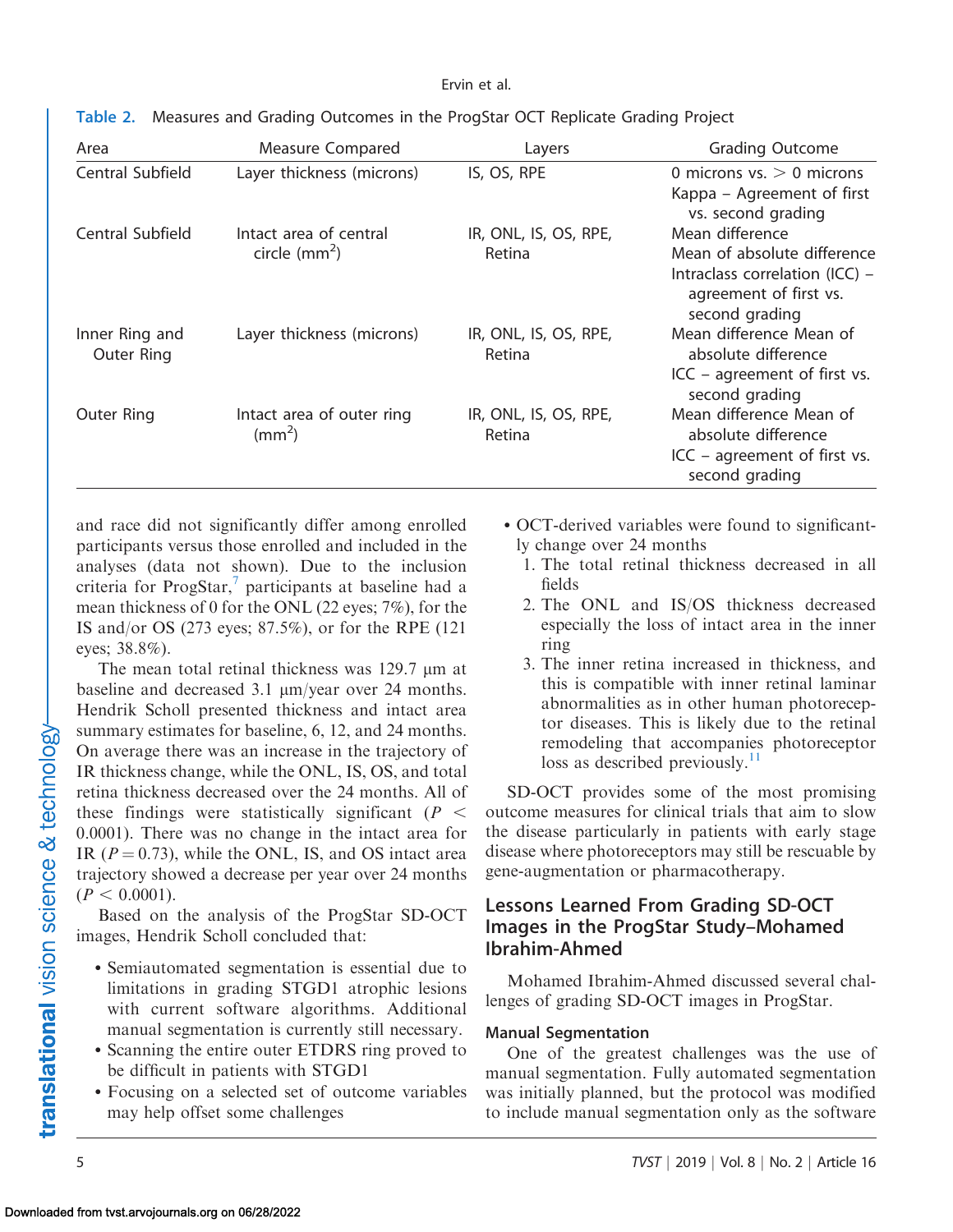| Area                                | Measure Compared                          | Layers                          | <b>Grading Outcome</b>                                                                                                         |
|-------------------------------------|-------------------------------------------|---------------------------------|--------------------------------------------------------------------------------------------------------------------------------|
| Central Subfield                    | Layer thickness (microns)                 | IS, OS, RPE                     | 0 microns vs. $> 0$ microns<br>Kappa – Agreement of first<br>vs. second grading                                                |
| Central Subfield                    | Intact area of central<br>circle $(mm^2)$ | IR, ONL, IS, OS, RPE,<br>Retina | Mean difference<br>Mean of absolute difference<br>Intraclass correlation (ICC) $-$<br>agreement of first vs.<br>second grading |
| Inner Ring and<br><b>Outer Ring</b> | Layer thickness (microns)                 | IR, ONL, IS, OS, RPE,<br>Retina | Mean difference Mean of<br>absolute difference<br>$ICC - agreement$ of first vs.<br>second grading                             |
| Outer Ring                          | Intact area of outer ring<br>$\rm (mm^2)$ | IR, ONL, IS, OS, RPE,<br>Retina | Mean difference Mean of<br>absolute difference<br>$ICC - agreement of first vs.$<br>second grading                             |

<span id="page-4-0"></span>Table 2. Measures and Grading Outcomes in the ProgStar OCT Replicate Grading Project

and race did not significantly differ among enrolled participants versus those enrolled and included in the analyses (data not shown). Due to the inclusion criteria for ProgStar, $\frac{7}{7}$  $\frac{7}{7}$  $\frac{7}{7}$  participants at baseline had a mean thickness of 0 for the ONL (22 eyes; 7%), for the IS and/or OS (273 eyes; 87.5%), or for the RPE (121 eyes; 38.8%).

The mean total retinal thickness was 129.7 µm at baseline and decreased  $3.1 \mu m/year$  over 24 months. Hendrik Scholl presented thickness and intact area summary estimates for baseline, 6, 12, and 24 months. On average there was an increase in the trajectory of IR thickness change, while the ONL, IS, OS, and total retina thickness decreased over the 24 months. All of these findings were statistically significant ( $P \leq$ 0.0001). There was no change in the intact area for IR ( $P = 0.73$ ), while the ONL, IS, and OS intact area trajectory showed a decrease per year over 24 months  $(P < 0.0001)$ .

Based on the analysis of the ProgStar SD-OCT images, Hendrik Scholl concluded that:

- Semiautomated segmentation is essential due to limitations in grading STGD1 atrophic lesions with current software algorithms. Additional manual segmentation is currently still necessary.
- Scanning the entire outer ETDRS ring proved to be difficult in patients with STGD1
- Focusing on a selected set of outcome variables may help offset some challenges
- OCT-derived variables were found to significantly change over 24 months
	- 1. The total retinal thickness decreased in all fields
	- 2. The ONL and IS/OS thickness decreased especially the loss of intact area in the inner ring
	- 3. The inner retina increased in thickness, and this is compatible with inner retinal laminar abnormalities as in other human photoreceptor diseases. This is likely due to the retinal remodeling that accompanies photoreceptor loss as described previously. $^{11}$

SD-OCT provides some of the most promising outcome measures for clinical trials that aim to slow the disease particularly in patients with early stage disease where photoreceptors may still be rescuable by gene-augmentation or pharmacotherapy.

## Lessons Learned From Grading SD-OCT Images in the ProgStar Study–Mohamed Ibrahim-Ahmed

Mohamed Ibrahim-Ahmed discussed several challenges of grading SD-OCT images in ProgStar.

#### Manual Segmentation

One of the greatest challenges was the use of manual segmentation. Fully automated segmentation was initially planned, but the protocol was modified to include manual segmentation only as the software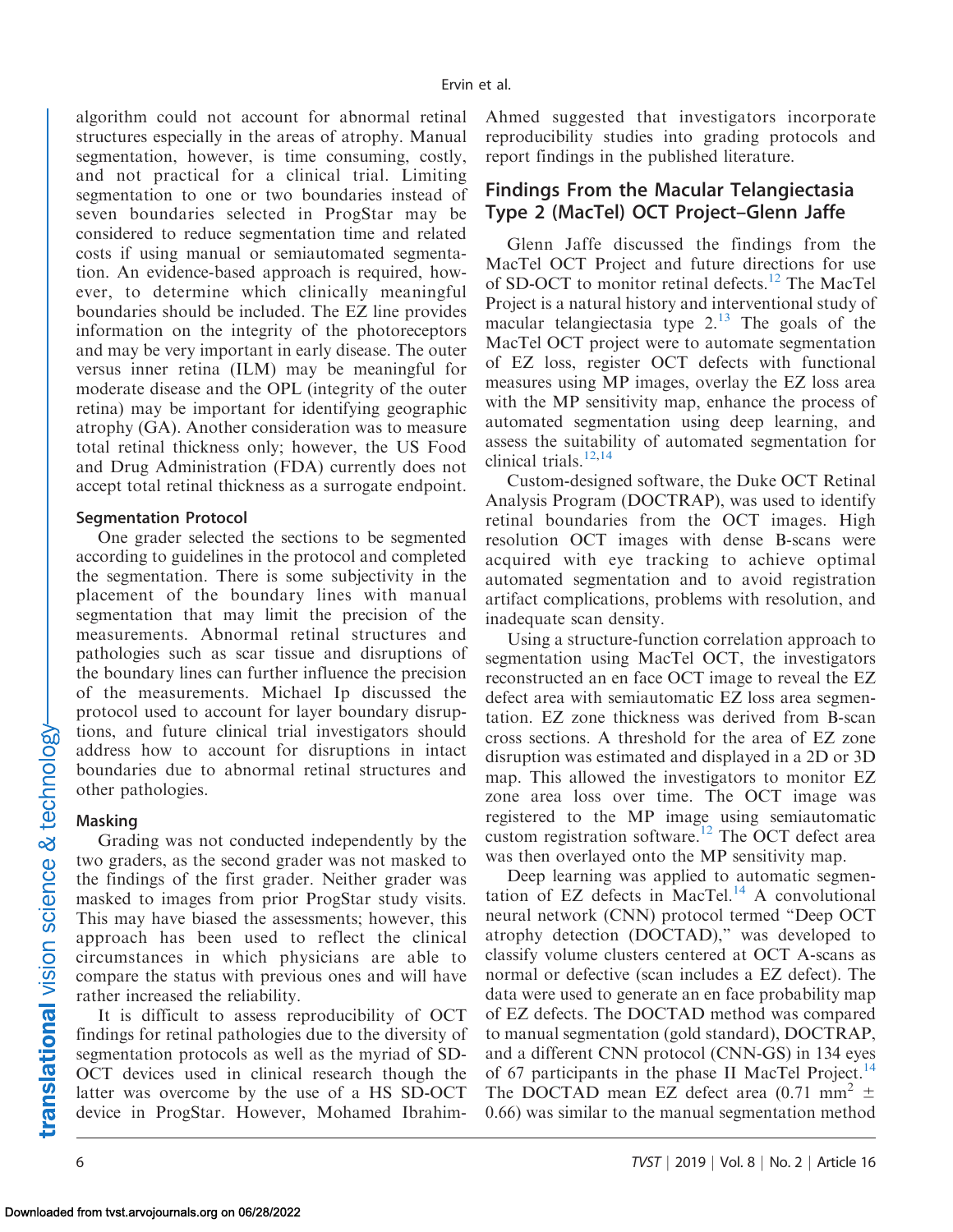algorithm could not account for abnormal retinal structures especially in the areas of atrophy. Manual segmentation, however, is time consuming, costly, and not practical for a clinical trial. Limiting segmentation to one or two boundaries instead of seven boundaries selected in ProgStar may be considered to reduce segmentation time and related costs if using manual or semiautomated segmentation. An evidence-based approach is required, however, to determine which clinically meaningful boundaries should be included. The EZ line provides information on the integrity of the photoreceptors and may be very important in early disease. The outer versus inner retina (ILM) may be meaningful for moderate disease and the OPL (integrity of the outer retina) may be important for identifying geographic atrophy (GA). Another consideration was to measure total retinal thickness only; however, the US Food and Drug Administration (FDA) currently does not accept total retinal thickness as a surrogate endpoint.

#### Segmentation Protocol

One grader selected the sections to be segmented according to guidelines in the protocol and completed the segmentation. There is some subjectivity in the placement of the boundary lines with manual segmentation that may limit the precision of the measurements. Abnormal retinal structures and pathologies such as scar tissue and disruptions of the boundary lines can further influence the precision of the measurements. Michael Ip discussed the protocol used to account for layer boundary disruptions, and future clinical trial investigators should address how to account for disruptions in intact boundaries due to abnormal retinal structures and other pathologies.

#### Masking

Grading was not conducted independently by the two graders, as the second grader was not masked to the findings of the first grader. Neither grader was masked to images from prior ProgStar study visits. This may have biased the assessments; however, this approach has been used to reflect the clinical circumstances in which physicians are able to compare the status with previous ones and will have rather increased the reliability.

It is difficult to assess reproducibility of OCT findings for retinal pathologies due to the diversity of segmentation protocols as well as the myriad of SD-OCT devices used in clinical research though the latter was overcome by the use of a HS SD-OCT device in ProgStar. However, Mohamed IbrahimAhmed suggested that investigators incorporate reproducibility studies into grading protocols and report findings in the published literature.

## Findings From the Macular Telangiectasia Type 2 (MacTel) OCT Project–Glenn Jaffe

Glenn Jaffe discussed the findings from the MacTel OCT Project and future directions for use of SD-OCT to monitor retinal defects.<sup>[12](#page-14-0)</sup> The MacTel Project is a natural history and interventional study of macular telangiectasia type  $2^{13}$  $2^{13}$  $2^{13}$ . The goals of the MacTel OCT project were to automate segmentation of EZ loss, register OCT defects with functional measures using MP images, overlay the EZ loss area with the MP sensitivity map, enhance the process of automated segmentation using deep learning, and assess the suitability of automated segmentation for clinical trials. $12,14$ 

Custom-designed software, the Duke OCT Retinal Analysis Program (DOCTRAP), was used to identify retinal boundaries from the OCT images. High resolution OCT images with dense B-scans were acquired with eye tracking to achieve optimal automated segmentation and to avoid registration artifact complications, problems with resolution, and inadequate scan density.

Using a structure-function correlation approach to segmentation using MacTel OCT, the investigators reconstructed an en face OCT image to reveal the EZ defect area with semiautomatic EZ loss area segmentation. EZ zone thickness was derived from B-scan cross sections. A threshold for the area of EZ zone disruption was estimated and displayed in a 2D or 3D map. This allowed the investigators to monitor EZ zone area loss over time. The OCT image was registered to the MP image using semiautomatic custom registration software.<sup>[12](#page-14-0)</sup> The OCT defect area was then overlayed onto the MP sensitivity map.

Deep learning was applied to automatic segmen-tation of EZ defects in MacTel.<sup>[14](#page-14-0)</sup> A convolutional neural network (CNN) protocol termed ''Deep OCT atrophy detection (DOCTAD),'' was developed to classify volume clusters centered at OCT A-scans as normal or defective (scan includes a EZ defect). The data were used to generate an en face probability map of EZ defects. The DOCTAD method was compared to manual segmentation (gold standard), DOCTRAP, and a different CNN protocol (CNN-GS) in 134 eyes of 67 participants in the phase II MacTel Project.<sup>[14](#page-14-0)</sup> The DOCTAD mean EZ defect area  $(0.71 \text{ mm}^2 \pm$ 0.66) was similar to the manual segmentation method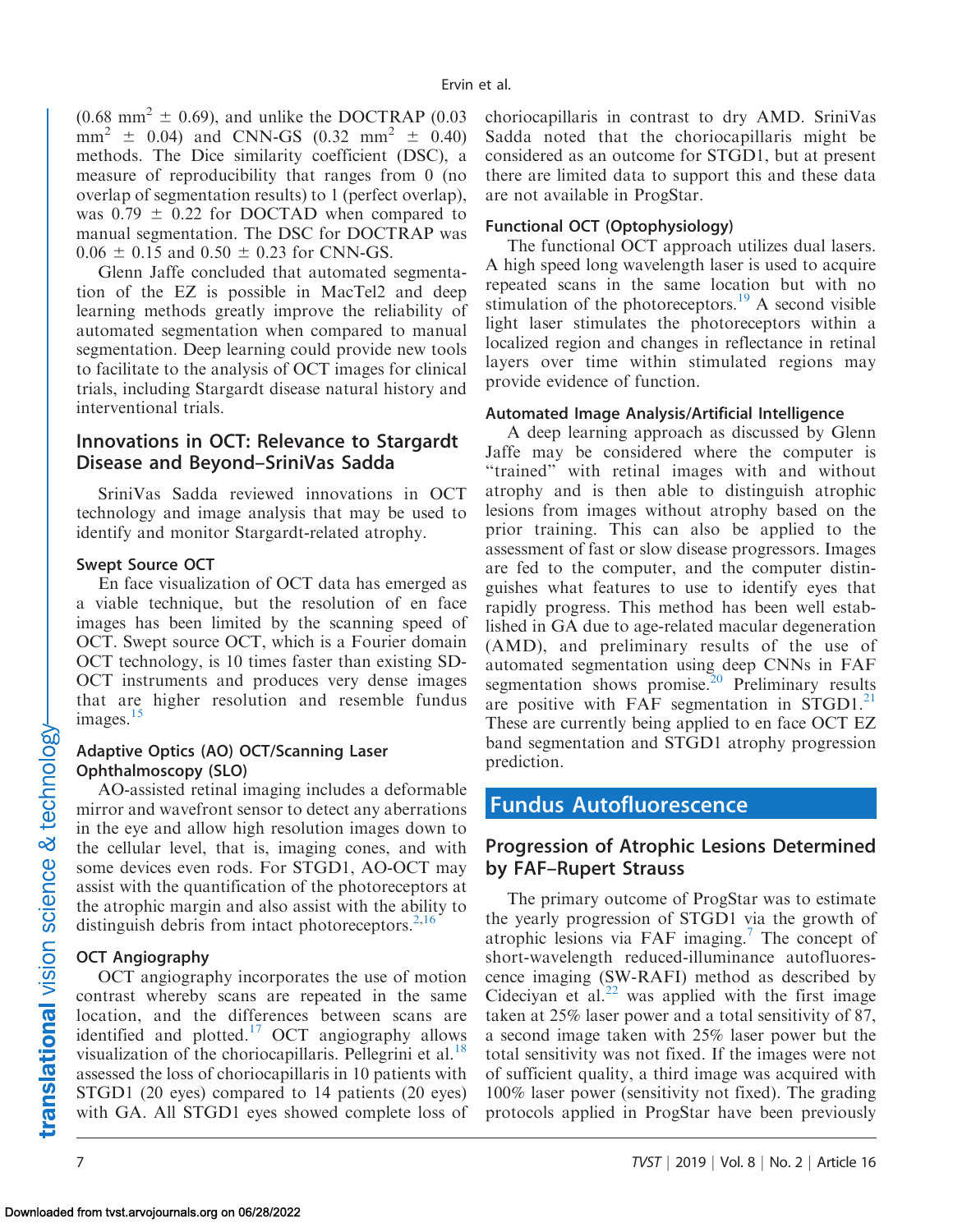$(0.68 \text{ mm}^2 \pm 0.69)$ , and unlike the DOCTRAP (0.03)  $mm^2 \pm 0.04$ ) and CNN-GS (0.32 mm<sup>2</sup>  $\pm$  0.40) methods. The Dice similarity coefficient (DSC), a measure of reproducibility that ranges from 0 (no overlap of segmentation results) to 1 (perfect overlap), was  $0.79 \pm 0.22$  for DOCTAD when compared to manual segmentation. The DSC for DOCTRAP was  $0.06 \pm 0.15$  and  $0.50 \pm 0.23$  for CNN-GS.

Glenn Jaffe concluded that automated segmentation of the EZ is possible in MacTel2 and deep learning methods greatly improve the reliability of automated segmentation when compared to manual segmentation. Deep learning could provide new tools to facilitate to the analysis of OCT images for clinical trials, including Stargardt disease natural history and interventional trials.

#### Innovations in OCT: Relevance to Stargardt Disease and Beyond–SriniVas Sadda

SriniVas Sadda reviewed innovations in OCT technology and image analysis that may be used to identify and monitor Stargardt-related atrophy.

#### Swept Source OCT

En face visualization of OCT data has emerged as a viable technique, but the resolution of en face images has been limited by the scanning speed of OCT. Swept source OCT, which is a Fourier domain OCT technology, is 10 times faster than existing SD-OCT instruments and produces very dense images that are higher resolution and resemble fundus images. $15$ 

#### Adaptive Optics (AO) OCT/Scanning Laser Ophthalmoscopy (SLO)

AO-assisted retinal imaging includes a deformable mirror and wavefront sensor to detect any aberrations in the eye and allow high resolution images down to the cellular level, that is, imaging cones, and with some devices even rods. For STGD1, AO-OCT may assist with the quantification of the photoreceptors at the atrophic margin and also assist with the ability to distinguish debris from intact photoreceptors. $2,16$  $2,16$ 

#### OCT Angiography

OCT angiography incorporates the use of motion contrast whereby scans are repeated in the same location, and the differences between scans are identified and plotted.[17](#page-14-0) OCT angiography allows visualization of the choriocapillaris. Pellegrini et al.<sup>[18](#page-14-0)</sup> assessed the loss of choriocapillaris in 10 patients with STGD1 (20 eyes) compared to 14 patients (20 eyes) with GA. All STGD1 eyes showed complete loss of choriocapillaris in contrast to dry AMD. SriniVas Sadda noted that the choriocapillaris might be considered as an outcome for STGD1, but at present there are limited data to support this and these data are not available in ProgStar.

#### Functional OCT (Optophysiology)

The functional OCT approach utilizes dual lasers. A high speed long wavelength laser is used to acquire repeated scans in the same location but with no stimulation of the photoreceptors.<sup>[19](#page-14-0)</sup> A second visible light laser stimulates the photoreceptors within a localized region and changes in reflectance in retinal layers over time within stimulated regions may provide evidence of function.

#### Automated Image Analysis/Artificial Intelligence

A deep learning approach as discussed by Glenn Jaffe may be considered where the computer is ''trained'' with retinal images with and without atrophy and is then able to distinguish atrophic lesions from images without atrophy based on the prior training. This can also be applied to the assessment of fast or slow disease progressors. Images are fed to the computer, and the computer distinguishes what features to use to identify eyes that rapidly progress. This method has been well established in GA due to age-related macular degeneration (AMD), and preliminary results of the use of automated segmentation using deep CNNs in FAF segmentation shows promise. $20$  Preliminary results are positive with FAF segmentation in  $STGD1<sup>21</sup>$  $STGD1<sup>21</sup>$  $STGD1<sup>21</sup>$ These are currently being applied to en face OCT EZ band segmentation and STGD1 atrophy progression prediction.

## Fundus Autofluorescence

## Progression of Atrophic Lesions Determined by FAF–Rupert Strauss

The primary outcome of ProgStar was to estimate the yearly progression of STGD1 via the growth of atrophic lesions via FAF imaging.<sup>[7](#page-13-0)</sup> The concept of short-wavelength reduced-illuminance autofluorescence imaging (SW-RAFI) method as described by Cideciyan et al.<sup>[22](#page-14-0)</sup> was applied with the first image taken at 25% laser power and a total sensitivity of 87, a second image taken with 25% laser power but the total sensitivity was not fixed. If the images were not of sufficient quality, a third image was acquired with 100% laser power (sensitivity not fixed). The grading protocols applied in ProgStar have been previously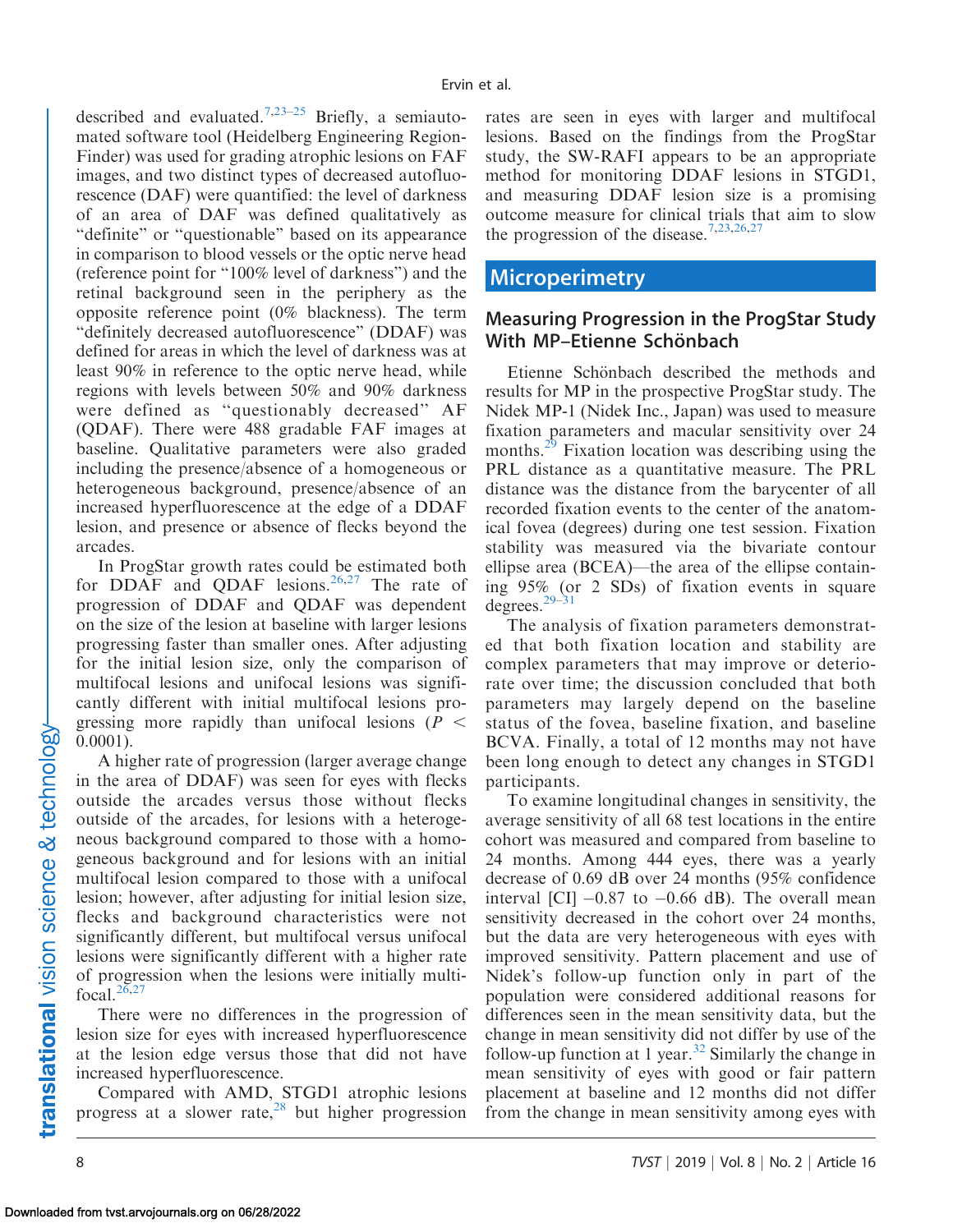described and evaluated.<sup>[7,](#page-13-0)[23–25](#page-14-0)</sup> Briefly, a semiautomated software tool (Heidelberg Engineering Region-Finder) was used for grading atrophic lesions on FAF images, and two distinct types of decreased autofluorescence (DAF) were quantified: the level of darkness of an area of DAF was defined qualitatively as ''definite'' or ''questionable'' based on its appearance in comparison to blood vessels or the optic nerve head (reference point for ''100% level of darkness'') and the retinal background seen in the periphery as the opposite reference point (0% blackness). The term ''definitely decreased autofluorescence'' (DDAF) was defined for areas in which the level of darkness was at least 90% in reference to the optic nerve head, while regions with levels between 50% and 90% darkness were defined as ''questionably decreased'' AF (QDAF). There were 488 gradable FAF images at baseline. Qualitative parameters were also graded including the presence/absence of a homogeneous or heterogeneous background, presence/absence of an increased hyperfluorescence at the edge of a DDAF lesion, and presence or absence of flecks beyond the arcades.

In ProgStar growth rates could be estimated both for DDAF and QDAF lesions.<sup>[26,27](#page-14-0)</sup> The rate of progression of DDAF and QDAF was dependent on the size of the lesion at baseline with larger lesions progressing faster than smaller ones. After adjusting for the initial lesion size, only the comparison of multifocal lesions and unifocal lesions was significantly different with initial multifocal lesions progressing more rapidly than unifocal lesions ( $P \leq$ 0.0001).

A higher rate of progression (larger average change in the area of DDAF) was seen for eyes with flecks outside the arcades versus those without flecks outside of the arcades, for lesions with a heterogeneous background compared to those with a homogeneous background and for lesions with an initial multifocal lesion compared to those with a unifocal lesion; however, after adjusting for initial lesion size, flecks and background characteristics were not significantly different, but multifocal versus unifocal lesions were significantly different with a higher rate of progression when the lesions were initially multifocal. $26,27$ 

There were no differences in the progression of lesion size for eyes with increased hyperfluorescence at the lesion edge versus those that did not have increased hyperfluorescence.

Compared with AMD, STGD1 atrophic lesions progress at a slower rate,  $^{28}$  $^{28}$  $^{28}$  but higher progression rates are seen in eyes with larger and multifocal lesions. Based on the findings from the ProgStar study, the SW-RAFI appears to be an appropriate method for monitoring DDAF lesions in STGD1, and measuring DDAF lesion size is a promising outcome measure for clinical trials that aim to slow the progression of the disease.<sup>[7](#page-13-0)[,23](#page-14-0),[26,27](#page-14-0)</sup>

## **Microperimetry**

## Measuring Progression in the ProgStar Study With MP–Etienne Schönbach

Etienne Schönbach described the methods and results for MP in the prospective ProgStar study. The Nidek MP-1 (Nidek Inc., Japan) was used to measure fixation parameters and macular sensitivity over 24 months.<sup>[29](#page-14-0)</sup> Fixation location was describing using the PRL distance as a quantitative measure. The PRL distance was the distance from the barycenter of all recorded fixation events to the center of the anatomical fovea (degrees) during one test session. Fixation stability was measured via the bivariate contour ellipse area (BCEA)—the area of the ellipse containing 95% (or 2 SDs) of fixation events in square degrees. $29-31$  $29-31$ 

The analysis of fixation parameters demonstrated that both fixation location and stability are complex parameters that may improve or deteriorate over time; the discussion concluded that both parameters may largely depend on the baseline status of the fovea, baseline fixation, and baseline BCVA. Finally, a total of 12 months may not have been long enough to detect any changes in STGD1 participants.

To examine longitudinal changes in sensitivity, the average sensitivity of all 68 test locations in the entire cohort was measured and compared from baseline to 24 months. Among 444 eyes, there was a yearly decrease of 0.69 dB over 24 months (95% confidence interval  $\text{[CI]} -0.87$  to  $-0.66$  dB). The overall mean sensitivity decreased in the cohort over 24 months, but the data are very heterogeneous with eyes with improved sensitivity. Pattern placement and use of Nidek's follow-up function only in part of the population were considered additional reasons for differences seen in the mean sensitivity data, but the change in mean sensitivity did not differ by use of the follow-up function at 1 year.<sup>[32](#page-15-0)</sup> Similarly the change in mean sensitivity of eyes with good or fair pattern placement at baseline and 12 months did not differ from the change in mean sensitivity among eyes with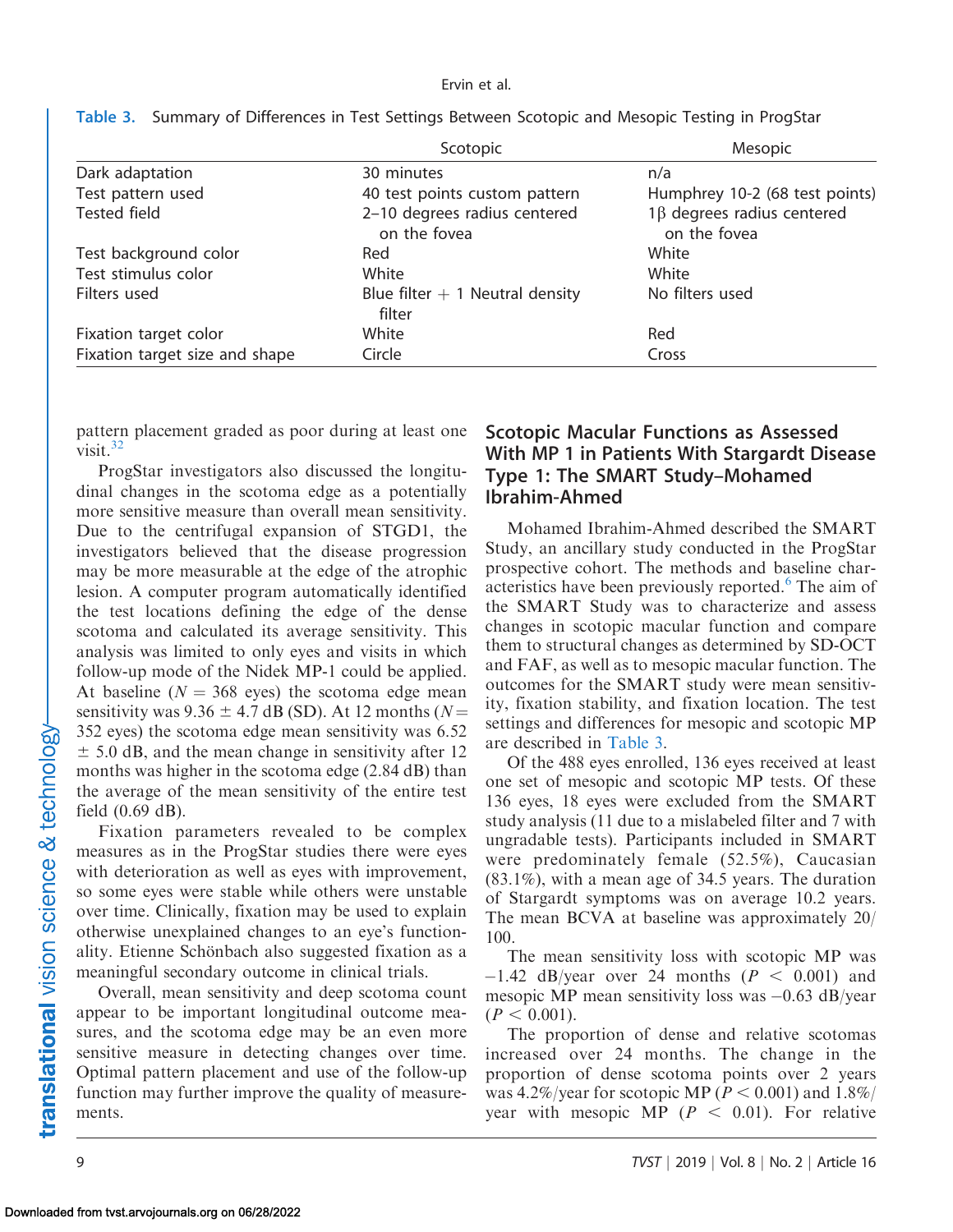|                                | Scotopic                                     | Mesopic<br>n/a                                   |  |
|--------------------------------|----------------------------------------------|--------------------------------------------------|--|
| Dark adaptation                | 30 minutes                                   |                                                  |  |
| Test pattern used              | 40 test points custom pattern                | Humphrey 10-2 (68 test points)                   |  |
| <b>Tested field</b>            | 2-10 degrees radius centered<br>on the fovea | $1\beta$ degrees radius centered<br>on the fovea |  |
| Test background color          | Red                                          | White                                            |  |
| Test stimulus color            | White                                        | White                                            |  |
| Filters used                   | Blue filter $+1$ Neutral density<br>filter   | No filters used                                  |  |
| Fixation target color          | White                                        | Red                                              |  |
| Fixation target size and shape | Circle                                       | Cross                                            |  |

|  | Table 3. Summary of Differences in Test Settings Between Scotopic and Mesopic Testing in ProgStar |  |  |  |  |
|--|---------------------------------------------------------------------------------------------------|--|--|--|--|
|--|---------------------------------------------------------------------------------------------------|--|--|--|--|

pattern placement graded as poor during at least one visit.<sup>32</sup>

ProgStar investigators also discussed the longitudinal changes in the scotoma edge as a potentially more sensitive measure than overall mean sensitivity. Due to the centrifugal expansion of STGD1, the investigators believed that the disease progression may be more measurable at the edge of the atrophic lesion. A computer program automatically identified the test locations defining the edge of the dense scotoma and calculated its average sensitivity. This analysis was limited to only eyes and visits in which follow-up mode of the Nidek MP-1 could be applied. At baseline ( $N = 368$  eyes) the scotoma edge mean sensitivity was  $9.36 \pm 4.7$  dB (SD). At 12 months (N = 352 eyes) the scotoma edge mean sensitivity was 6.52  $\pm$  5.0 dB, and the mean change in sensitivity after 12 months was higher in the scotoma edge (2.84 dB) than the average of the mean sensitivity of the entire test field (0.69 dB).

Fixation parameters revealed to be complex measures as in the ProgStar studies there were eyes with deterioration as well as eyes with improvement, so some eyes were stable while others were unstable over time. Clinically, fixation may be used to explain otherwise unexplained changes to an eye's functionality. Etienne Schönbach also suggested fixation as a meaningful secondary outcome in clinical trials.

Overall, mean sensitivity and deep scotoma count appear to be important longitudinal outcome measures, and the scotoma edge may be an even more sensitive measure in detecting changes over time. Optimal pattern placement and use of the follow-up function may further improve the quality of measurements.

## Scotopic Macular Functions as Assessed With MP 1 in Patients With Stargardt Disease Type 1: The SMART Study–Mohamed Ibrahim-Ahmed

Mohamed Ibrahim-Ahmed described the SMART Study, an ancillary study conducted in the ProgStar prospective cohort. The methods and baseline char-acteristics have been previously reported.<sup>[6](#page-13-0)</sup> The aim of the SMART Study was to characterize and assess changes in scotopic macular function and compare them to structural changes as determined by SD-OCT and FAF, as well as to mesopic macular function. The outcomes for the SMART study were mean sensitivity, fixation stability, and fixation location. The test settings and differences for mesopic and scotopic MP are described in Table 3.

Of the 488 eyes enrolled, 136 eyes received at least one set of mesopic and scotopic MP tests. Of these 136 eyes, 18 eyes were excluded from the SMART study analysis (11 due to a mislabeled filter and 7 with ungradable tests). Participants included in SMART were predominately female (52.5%), Caucasian (83.1%), with a mean age of 34.5 years. The duration of Stargardt symptoms was on average 10.2 years. The mean BCVA at baseline was approximately 20/ 100.

The mean sensitivity loss with scotopic MP was  $-1.42$  dB/year over 24 months ( $P < 0.001$ ) and mesopic MP mean sensitivity loss was  $-0.63$  dB/year  $(P < 0.001)$ .

The proportion of dense and relative scotomas increased over 24 months. The change in the proportion of dense scotoma points over 2 years was 4.2%/year for scotopic MP ( $P < 0.001$ ) and 1.8%/ year with mesopic MP ( $P < 0.01$ ). For relative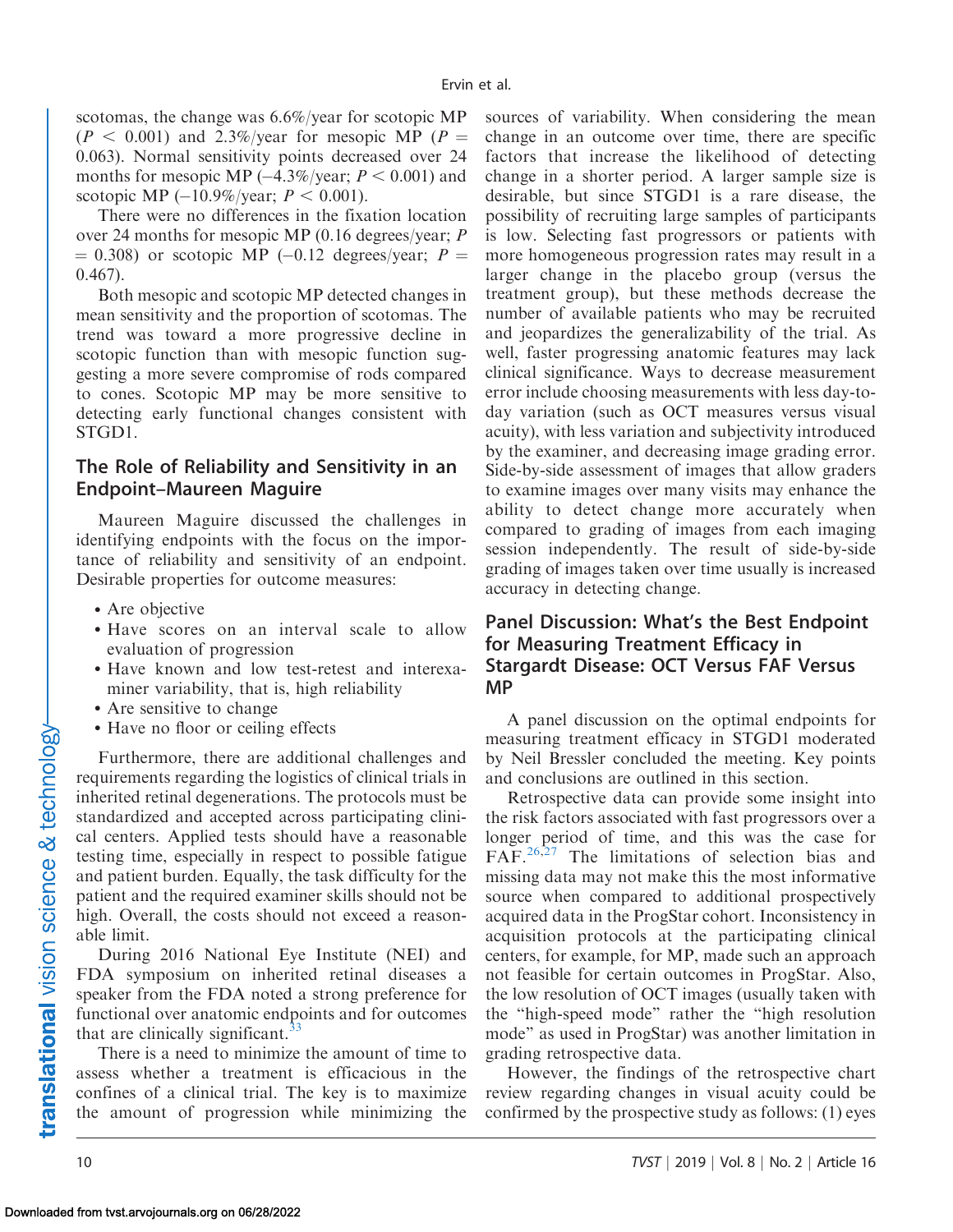scotomas, the change was 6.6%/year for scotopic MP  $(P < 0.001)$  and 2.3%/year for mesopic MP (P = 0.063). Normal sensitivity points decreased over 24 months for mesopic MP  $(-4.3\%/year; P < 0.001)$  and scotopic MP  $(-10.9\%/\text{year}; P < 0.001)$ .

There were no differences in the fixation location over 24 months for mesopic MP (0.16 degrees/year; P  $= 0.308$ ) or scotopic MP (-0.12 degrees/year; P = 0.467).

Both mesopic and scotopic MP detected changes in mean sensitivity and the proportion of scotomas. The trend was toward a more progressive decline in scotopic function than with mesopic function suggesting a more severe compromise of rods compared to cones. Scotopic MP may be more sensitive to detecting early functional changes consistent with STGD1.

### The Role of Reliability and Sensitivity in an Endpoint–Maureen Maguire

Maureen Maguire discussed the challenges in identifying endpoints with the focus on the importance of reliability and sensitivity of an endpoint. Desirable properties for outcome measures:

- Are objective
- Have scores on an interval scale to allow evaluation of progression
- Have known and low test-retest and interexaminer variability, that is, high reliability
- Are sensitive to change
- Have no floor or ceiling effects

Furthermore, there are additional challenges and requirements regarding the logistics of clinical trials in inherited retinal degenerations. The protocols must be standardized and accepted across participating clinical centers. Applied tests should have a reasonable testing time, especially in respect to possible fatigue and patient burden. Equally, the task difficulty for the patient and the required examiner skills should not be high. Overall, the costs should not exceed a reasonable limit.

During 2016 National Eye Institute (NEI) and FDA symposium on inherited retinal diseases a speaker from the FDA noted a strong preference for functional over anatomic endpoints and for outcomes that are clinically significant.<sup>3</sup>

There is a need to minimize the amount of time to assess whether a treatment is efficacious in the confines of a clinical trial. The key is to maximize the amount of progression while minimizing the sources of variability. When considering the mean change in an outcome over time, there are specific factors that increase the likelihood of detecting change in a shorter period. A larger sample size is desirable, but since STGD1 is a rare disease, the possibility of recruiting large samples of participants is low. Selecting fast progressors or patients with more homogeneous progression rates may result in a larger change in the placebo group (versus the treatment group), but these methods decrease the number of available patients who may be recruited and jeopardizes the generalizability of the trial. As well, faster progressing anatomic features may lack clinical significance. Ways to decrease measurement error include choosing measurements with less day-today variation (such as OCT measures versus visual acuity), with less variation and subjectivity introduced by the examiner, and decreasing image grading error. Side-by-side assessment of images that allow graders to examine images over many visits may enhance the ability to detect change more accurately when compared to grading of images from each imaging session independently. The result of side-by-side grading of images taken over time usually is increased accuracy in detecting change.

## Panel Discussion: What's the Best Endpoint for Measuring Treatment Efficacy in Stargardt Disease: OCT Versus FAF Versus MP

A panel discussion on the optimal endpoints for measuring treatment efficacy in STGD1 moderated by Neil Bressler concluded the meeting. Key points and conclusions are outlined in this section.

Retrospective data can provide some insight into the risk factors associated with fast progressors over a longer period of time, and this was the case for  $FAF<sup>26,27</sup>$  $FAF<sup>26,27</sup>$  $FAF<sup>26,27</sup>$  $FAF<sup>26,27</sup>$  $FAF<sup>26,27</sup>$  The limitations of selection bias and missing data may not make this the most informative source when compared to additional prospectively acquired data in the ProgStar cohort. Inconsistency in acquisition protocols at the participating clinical centers, for example, for MP, made such an approach not feasible for certain outcomes in ProgStar. Also, the low resolution of OCT images (usually taken with the ''high-speed mode'' rather the ''high resolution mode'' as used in ProgStar) was another limitation in grading retrospective data.

However, the findings of the retrospective chart review regarding changes in visual acuity could be confirmed by the prospective study as follows: (1) eyes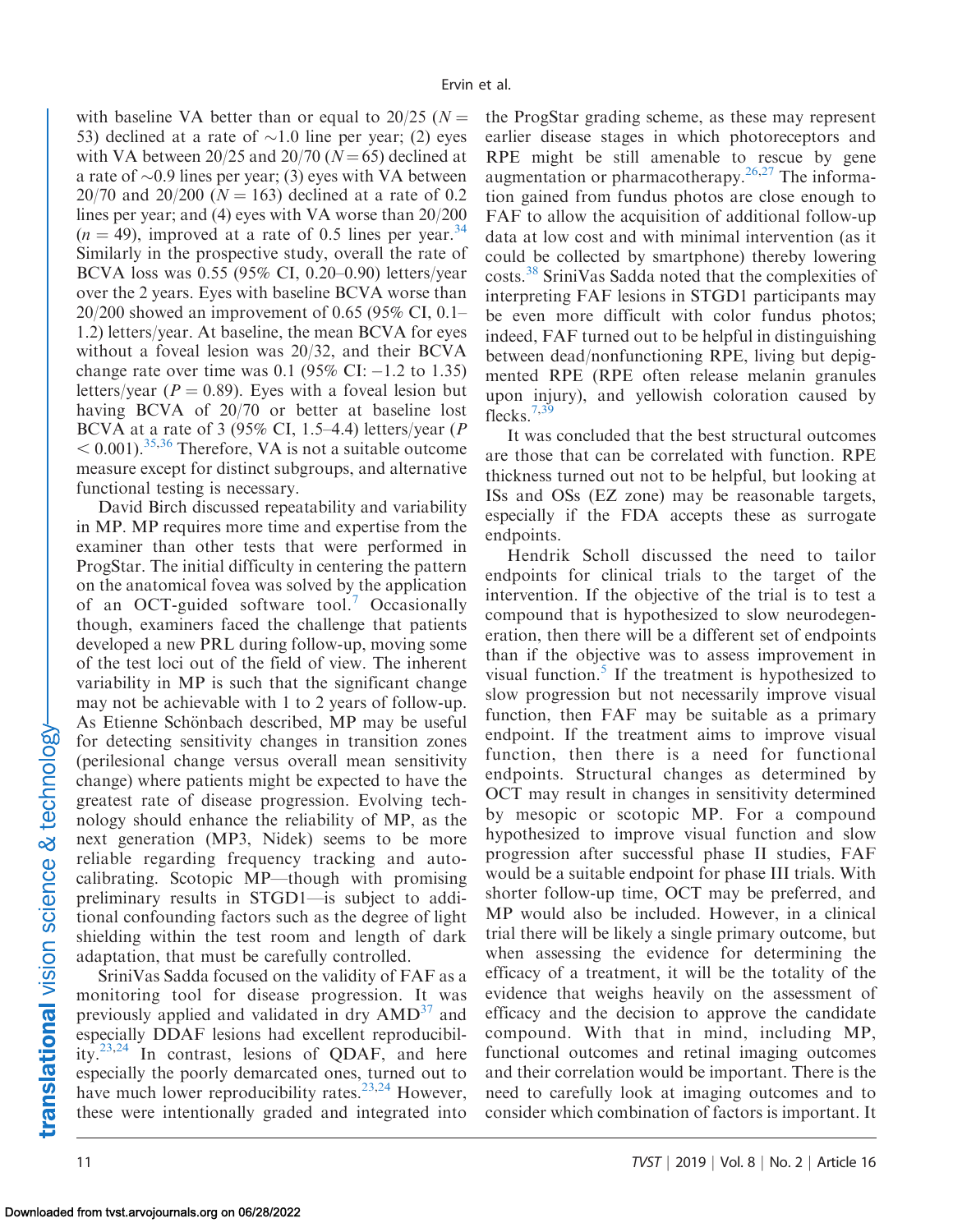with baseline VA better than or equal to  $20/25$  ( $N =$ 53) declined at a rate of  $\sim$ 1.0 line per year; (2) eyes with VA between 20/25 and 20/70 ( $N=65$ ) declined at a rate of  $\sim$ 0.9 lines per year; (3) eyes with VA between 20/70 and 20/200 ( $N = 163$ ) declined at a rate of 0.2 lines per year; and (4) eyes with VA worse than 20/200  $(n = 49)$ , improved at a rate of 0.5 lines per year.<sup>[34](#page-15-0)</sup> Similarly in the prospective study, overall the rate of BCVA loss was 0.55 (95% CI, 0.20–0.90) letters/year over the 2 years. Eyes with baseline BCVA worse than 20/200 showed an improvement of 0.65 (95% CI, 0.1– 1.2) letters/year. At baseline, the mean BCVA for eyes without a foveal lesion was 20/32, and their BCVA change rate over time was 0.1 (95% CI:  $-1.2$  to 1.35) letters/year ( $P = 0.89$ ). Eyes with a foveal lesion but having BCVA of 20/70 or better at baseline lost BCVA at a rate of 3 (95% CI, 1.5–4.4) letters/year ( $P$  $< 0.001$ ).<sup>35,36</sup> Therefore, VA is not a suitable outcome measure except for distinct subgroups, and alternative functional testing is necessary.

David Birch discussed repeatability and variability in MP. MP requires more time and expertise from the examiner than other tests that were performed in ProgStar. The initial difficulty in centering the pattern on the anatomical fovea was solved by the application of an OCT-guided software tool.<sup>[7](#page-13-0)</sup> Occasionally though, examiners faced the challenge that patients developed a new PRL during follow-up, moving some of the test loci out of the field of view. The inherent variability in MP is such that the significant change may not be achievable with 1 to 2 years of follow-up. As Etienne Schönbach described, MP may be useful for detecting sensitivity changes in transition zones (perilesional change versus overall mean sensitivity change) where patients might be expected to have the greatest rate of disease progression. Evolving technology should enhance the reliability of MP, as the next generation (MP3, Nidek) seems to be more reliable regarding frequency tracking and autocalibrating. Scotopic MP—though with promising preliminary results in STGD1—is subject to additional confounding factors such as the degree of light shielding within the test room and length of dark adaptation, that must be carefully controlled.

SriniVas Sadda focused on the validity of FAF as a monitoring tool for disease progression. It was previously applied and validated in dry  $\text{AMD}^{37}$  $\text{AMD}^{37}$  $\text{AMD}^{37}$  and especially DDAF lesions had excellent reproducibility. $23,24$  $23,24$  $23,24$  In contrast, lesions of QDAF, and here especially the poorly demarcated ones, turned out to have much lower reproducibility rates.<sup>[23,24](#page-14-0)</sup> However, these were intentionally graded and integrated into the ProgStar grading scheme, as these may represent earlier disease stages in which photoreceptors and RPE might be still amenable to rescue by gene augmentation or pharmacotherapy[.26,27](#page-14-0) The information gained from fundus photos are close enough to FAF to allow the acquisition of additional follow-up data at low cost and with minimal intervention (as it could be collected by smartphone) thereby lowering costs.[38](#page-15-0) SriniVas Sadda noted that the complexities of interpreting FAF lesions in STGD1 participants may be even more difficult with color fundus photos; indeed, FAF turned out to be helpful in distinguishing between dead/nonfunctioning RPE, living but depigmented RPE (RPE often release melanin granules upon injury), and yellowish coloration caused by flecks.<sup>[7,](#page-13-0)[39](#page-15-0)</sup>

It was concluded that the best structural outcomes are those that can be correlated with function. RPE thickness turned out not to be helpful, but looking at ISs and OSs (EZ zone) may be reasonable targets, especially if the FDA accepts these as surrogate endpoints.

Hendrik Scholl discussed the need to tailor endpoints for clinical trials to the target of the intervention. If the objective of the trial is to test a compound that is hypothesized to slow neurodegeneration, then there will be a different set of endpoints than if the objective was to assess improvement in visual function. $5$  If the treatment is hypothesized to slow progression but not necessarily improve visual function, then FAF may be suitable as a primary endpoint. If the treatment aims to improve visual function, then there is a need for functional endpoints. Structural changes as determined by OCT may result in changes in sensitivity determined by mesopic or scotopic MP. For a compound hypothesized to improve visual function and slow progression after successful phase II studies, FAF would be a suitable endpoint for phase III trials. With shorter follow-up time, OCT may be preferred, and MP would also be included. However, in a clinical trial there will be likely a single primary outcome, but when assessing the evidence for determining the efficacy of a treatment, it will be the totality of the evidence that weighs heavily on the assessment of efficacy and the decision to approve the candidate compound. With that in mind, including MP, functional outcomes and retinal imaging outcomes and their correlation would be important. There is the need to carefully look at imaging outcomes and to consider which combination of factors is important. It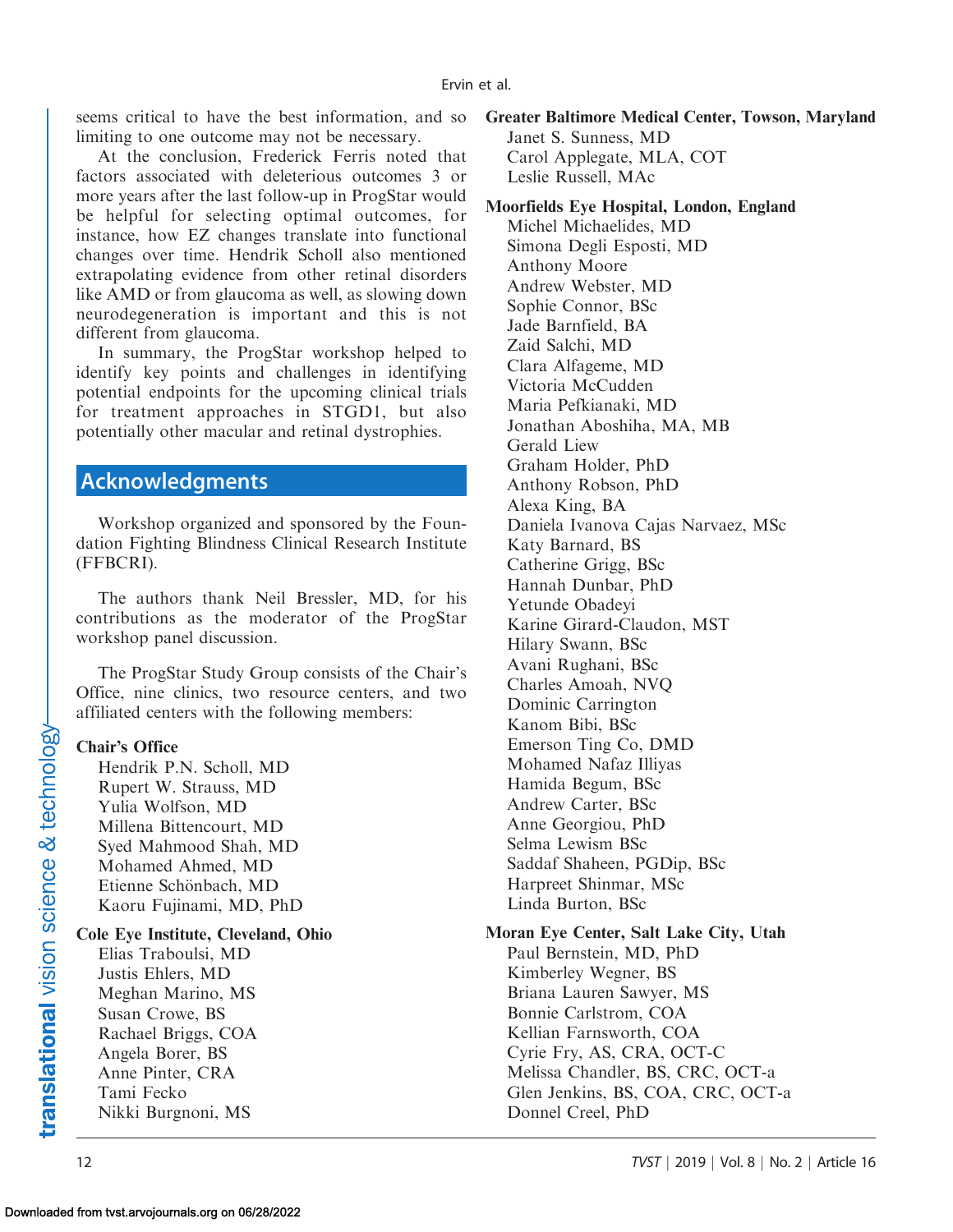seems critical to have the best information, and so limiting to one outcome may not be necessary.

At the conclusion, Frederick Ferris noted that factors associated with deleterious outcomes 3 or more years after the last follow-up in ProgStar would be helpful for selecting optimal outcomes, for instance, how EZ changes translate into functional changes over time. Hendrik Scholl also mentioned extrapolating evidence from other retinal disorders like AMD or from glaucoma as well, as slowing down neurodegeneration is important and this is not different from glaucoma.

In summary, the ProgStar workshop helped to identify key points and challenges in identifying potential endpoints for the upcoming clinical trials for treatment approaches in STGD1, but also potentially other macular and retinal dystrophies.

## Acknowledgments

Workshop organized and sponsored by the Foundation Fighting Blindness Clinical Research Institute (FFBCRI).

The authors thank Neil Bressler, MD, for his contributions as the moderator of the ProgStar workshop panel discussion.

The ProgStar Study Group consists of the Chair's Office, nine clinics, two resource centers, and two affiliated centers with the following members:

### Chair's Office

Hendrik P.N. Scholl, MD Rupert W. Strauss, MD Yulia Wolfson, MD Millena Bittencourt, MD Syed Mahmood Shah, MD Mohamed Ahmed, MD Etienne Schönbach, MD Kaoru Fujinami, MD, PhD

### Cole Eye Institute, Cleveland, Ohio

Elias Traboulsi, MD Justis Ehlers, MD Meghan Marino, MS Susan Crowe, BS Rachael Briggs, COA Angela Borer, BS Anne Pinter, CRA Tami Fecko Nikki Burgnoni, MS

## Greater Baltimore Medical Center, Towson, Maryland Janet S. Sunness, MD

Carol Applegate, MLA, COT Leslie Russell, MAc

Moorfields Eye Hospital, London, England Michel Michaelides, MD Simona Degli Esposti, MD Anthony Moore Andrew Webster, MD Sophie Connor, BSc Jade Barnfield, BA Zaid Salchi, MD Clara Alfageme, MD Victoria McCudden Maria Pefkianaki, MD Jonathan Aboshiha, MA, MB Gerald Liew Graham Holder, PhD Anthony Robson, PhD Alexa King, BA Daniela Ivanova Cajas Narvaez, MSc Katy Barnard, BS Catherine Grigg, BSc Hannah Dunbar, PhD Yetunde Obadeyi Karine Girard-Claudon, MST Hilary Swann, BSc Avani Rughani, BSc Charles Amoah, NVQ Dominic Carrington Kanom Bibi, BSc Emerson Ting Co, DMD Mohamed Nafaz Illiyas Hamida Begum, BSc Andrew Carter, BSc Anne Georgiou, PhD Selma Lewism BSc Saddaf Shaheen, PGDip, BSc Harpreet Shinmar, MSc Linda Burton, BSc

## Moran Eye Center, Salt Lake City, Utah

Paul Bernstein, MD, PhD Kimberley Wegner, BS Briana Lauren Sawyer, MS Bonnie Carlstrom, COA Kellian Farnsworth, COA Cyrie Fry, AS, CRA, OCT-C Melissa Chandler, BS, CRC, OCT-a Glen Jenkins, BS, COA, CRC, OCT-a Donnel Creel, PhD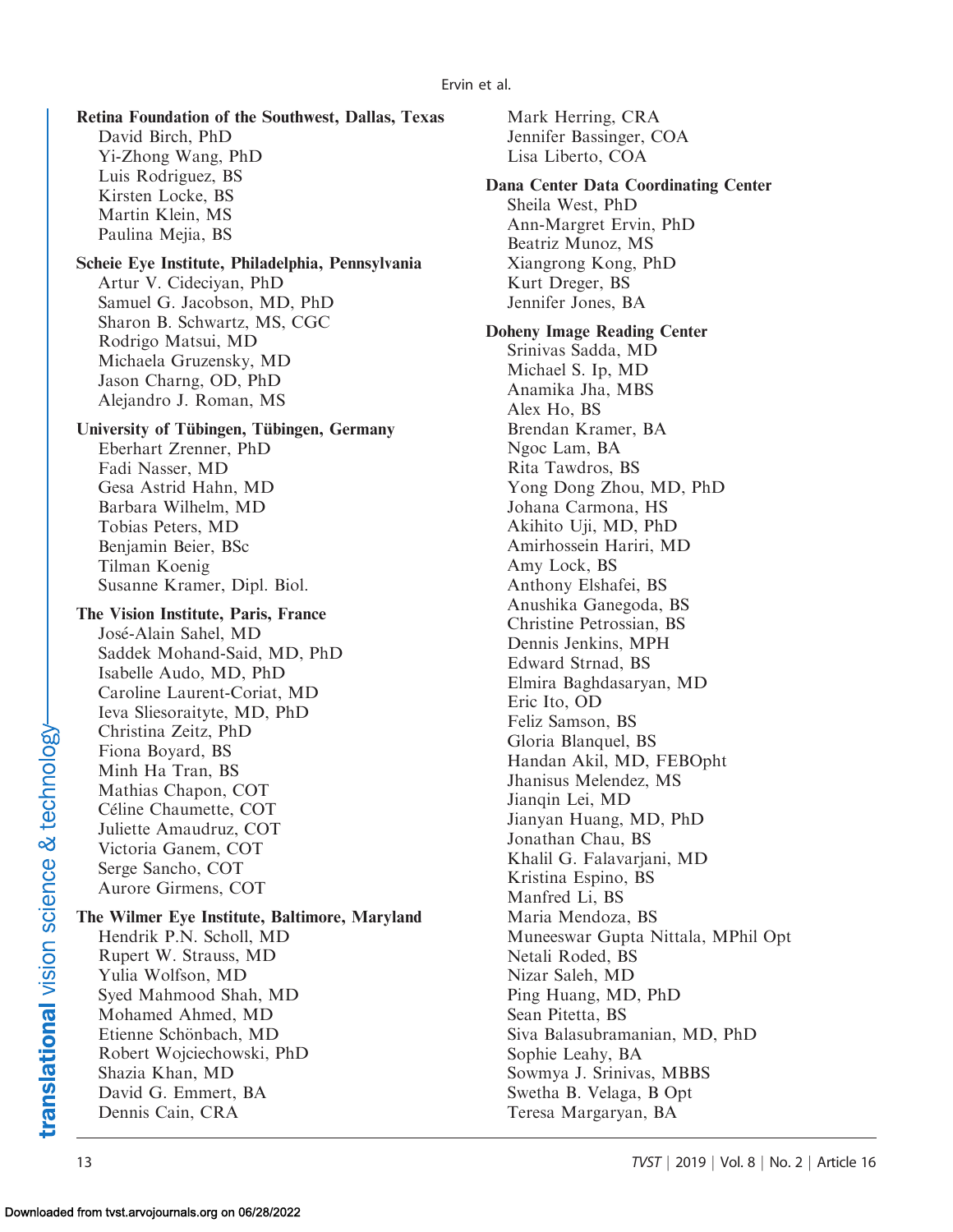Retina Foundation of the Southwest, Dallas, Texas David Birch, PhD Yi-Zhong Wang, PhD Luis Rodriguez, BS Kirsten Locke, BS Martin Klein, MS Paulina Mejia, BS Scheie Eye Institute, Philadelphia, Pennsylvania Artur V. Cideciyan, PhD Samuel G. Jacobson, MD, PhD Sharon B. Schwartz, MS, CGC Rodrigo Matsui, MD Michaela Gruzensky, MD Jason Charng, OD, PhD Alejandro J. Roman, MS University of Tübingen, Tübingen, Germany Eberhart Zrenner, PhD Fadi Nasser, MD Gesa Astrid Hahn, MD Barbara Wilhelm, MD Tobias Peters, MD Benjamin Beier, BSc Tilman Koenig Susanne Kramer, Dipl. Biol. The Vision Institute, Paris, France José-Alain Sahel, MD Saddek Mohand-Said, MD, PhD Isabelle Audo, MD, PhD Caroline Laurent-Coriat, MD Ieva Sliesoraityte, MD, PhD Christina Zeitz, PhD Fiona Boyard, BS Minh Ha Tran, BS Mathias Chapon, COT Céline Chaumette, COT Juliette Amaudruz, COT Victoria Ganem, COT Serge Sancho, COT Aurore Girmens, COT The Wilmer Eye Institute, Baltimore, Maryland Hendrik P.N. Scholl, MD Rupert W. Strauss, MD Yulia Wolfson, MD Syed Mahmood Shah, MD Mohamed Ahmed, MD Etienne Schönbach, MD Robert Wojciechowski, PhD Shazia Khan, MD David G. Emmert, BA Dennis Cain, CRA

Mark Herring, CRA Jennifer Bassinger, COA Lisa Liberto, COA Dana Center Data Coordinating Center Sheila West, PhD Ann-Margret Ervin, PhD Beatriz Munoz, MS Xiangrong Kong, PhD Kurt Dreger, BS Jennifer Jones, BA Doheny Image Reading Center Srinivas Sadda, MD Michael S. Ip, MD Anamika Jha, MBS Alex Ho, BS Brendan Kramer, BA Ngoc Lam, BA Rita Tawdros, BS Yong Dong Zhou, MD, PhD Johana Carmona, HS Akihito Uji, MD, PhD Amirhossein Hariri, MD Amy Lock, BS Anthony Elshafei, BS Anushika Ganegoda, BS Christine Petrossian, BS Dennis Jenkins, MPH Edward Strnad, BS Elmira Baghdasaryan, MD Eric Ito, OD Feliz Samson, BS Gloria Blanquel, BS Handan Akil, MD, FEBOpht Jhanisus Melendez, MS Jianqin Lei, MD Jianyan Huang, MD, PhD Jonathan Chau, BS Khalil G. Falavarjani, MD Kristina Espino, BS Manfred Li, BS Maria Mendoza, BS Muneeswar Gupta Nittala, MPhil Opt Netali Roded, BS Nizar Saleh, MD Ping Huang, MD, PhD Sean Pitetta, BS Siva Balasubramanian, MD, PhD Sophie Leahy, BA Sowmya J. Srinivas, MBBS Swetha B. Velaga, B Opt Teresa Margaryan, BA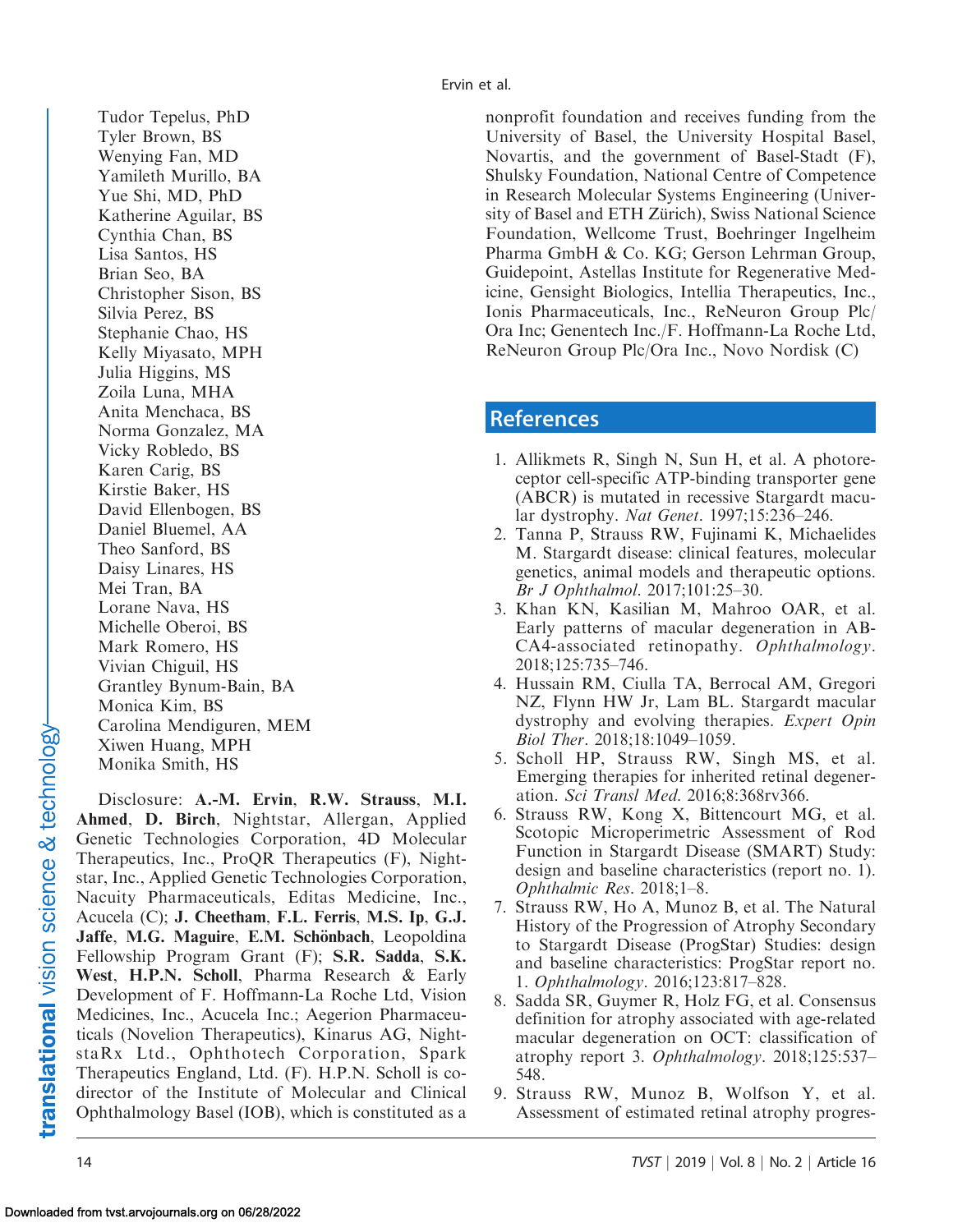<span id="page-13-0"></span>Tudor Tepelus, PhD Tyler Brown, BS Wenying Fan, MD Yamileth Murillo, BA Yue Shi, MD, PhD Katherine Aguilar, BS Cynthia Chan, BS Lisa Santos, HS Brian Seo, BA Christopher Sison, BS Silvia Perez, BS Stephanie Chao, HS Kelly Miyasato, MPH Julia Higgins, MS Zoila Luna, MHA Anita Menchaca, BS Norma Gonzalez, MA Vicky Robledo, BS Karen Carig, BS Kirstie Baker, HS David Ellenbogen, BS Daniel Bluemel, AA Theo Sanford, BS Daisy Linares, HS Mei Tran, BA Lorane Nava, HS Michelle Oberoi, BS Mark Romero, HS Vivian Chiguil, HS Grantley Bynum-Bain, BA Monica Kim, BS Carolina Mendiguren, MEM Xiwen Huang, MPH Monika Smith, HS

Disclosure: A.-M. Ervin, R.W. Strauss, M.I. Ahmed, D. Birch, Nightstar, Allergan, Applied Genetic Technologies Corporation, 4D Molecular Therapeutics, Inc., ProQR Therapeutics (F), Nightstar, Inc., Applied Genetic Technologies Corporation, Nacuity Pharmaceuticals, Editas Medicine, Inc., Acucela (C); J. Cheetham, F.L. Ferris, M.S. Ip, G.J. Jaffe, M.G. Maguire, E.M. Schönbach, Leopoldina Fellowship Program Grant (F); S.R. Sadda, S.K. West, H.P.N. Scholl, Pharma Research & Early Development of F. Hoffmann-La Roche Ltd, Vision Medicines, Inc., Acucela Inc.; Aegerion Pharmaceuticals (Novelion Therapeutics), Kinarus AG, NightstaRx Ltd., Ophthotech Corporation, Spark Therapeutics England, Ltd. (F). H.P.N. Scholl is codirector of the Institute of Molecular and Clinical Ophthalmology Basel (IOB), which is constituted as a

nonprofit foundation and receives funding from the University of Basel, the University Hospital Basel, Novartis, and the government of Basel-Stadt (F), Shulsky Foundation, National Centre of Competence in Research Molecular Systems Engineering (University of Basel and ETH Zürich), Swiss National Science Foundation, Wellcome Trust, Boehringer Ingelheim Pharma GmbH & Co. KG; Gerson Lehrman Group, Guidepoint, Astellas Institute for Regenerative Medicine, Gensight Biologics, Intellia Therapeutics, Inc., Ionis Pharmaceuticals, Inc., ReNeuron Group Plc/ Ora Inc; Genentech Inc./F. Hoffmann-La Roche Ltd, ReNeuron Group Plc/Ora Inc., Novo Nordisk (C)

## References

- 1. Allikmets R, Singh N, Sun H, et al. A photoreceptor cell-specific ATP-binding transporter gene (ABCR) is mutated in recessive Stargardt macular dystrophy. Nat Genet. 1997;15:236–246.
- 2. Tanna P, Strauss RW, Fujinami K, Michaelides M. Stargardt disease: clinical features, molecular genetics, animal models and therapeutic options. Br J Ophthalmol. 2017;101:25–30.
- 3. Khan KN, Kasilian M, Mahroo OAR, et al. Early patterns of macular degeneration in AB-CA4-associated retinopathy. Ophthalmology. 2018;125:735–746.
- 4. Hussain RM, Ciulla TA, Berrocal AM, Gregori NZ, Flynn HW Jr, Lam BL. Stargardt macular dystrophy and evolving therapies. Expert Opin Biol Ther. 2018;18:1049–1059.
- 5. Scholl HP, Strauss RW, Singh MS, et al. Emerging therapies for inherited retinal degeneration. Sci Transl Med. 2016;8:368rv366.
- 6. Strauss RW, Kong X, Bittencourt MG, et al. Scotopic Microperimetric Assessment of Rod Function in Stargardt Disease (SMART) Study: design and baseline characteristics (report no. 1). Ophthalmic Res. 2018;1–8.
- 7. Strauss RW, Ho A, Munoz B, et al. The Natural History of the Progression of Atrophy Secondary to Stargardt Disease (ProgStar) Studies: design and baseline characteristics: ProgStar report no. 1. Ophthalmology. 2016;123:817–828.
- 8. Sadda SR, Guymer R, Holz FG, et al. Consensus definition for atrophy associated with age-related macular degeneration on OCT: classification of atrophy report 3. Ophthalmology. 2018;125:537– 548.
- 9. Strauss RW, Munoz B, Wolfson Y, et al. Assessment of estimated retinal atrophy progres-

translational vision science & technology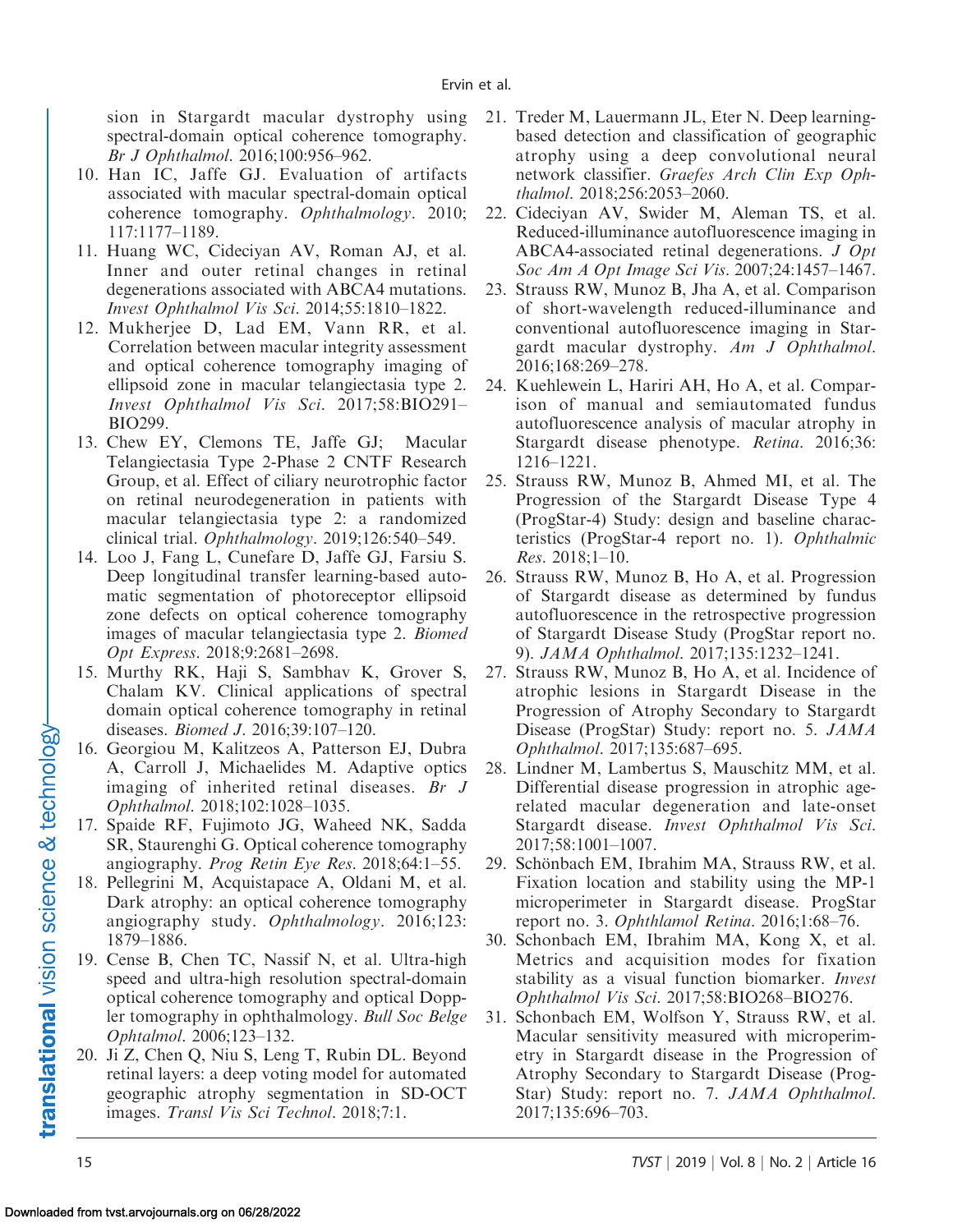<span id="page-14-0"></span>sion in Stargardt macular dystrophy using spectral-domain optical coherence tomography. Br J Ophthalmol. 2016;100:956–962.

- 10. Han IC, Jaffe GJ. Evaluation of artifacts associated with macular spectral-domain optical coherence tomography. Ophthalmology. 2010; 117:1177–1189.
- 11. Huang WC, Cideciyan AV, Roman AJ, et al. Inner and outer retinal changes in retinal degenerations associated with ABCA4 mutations. Invest Ophthalmol Vis Sci. 2014;55:1810–1822.
- 12. Mukherjee D, Lad EM, Vann RR, et al. Correlation between macular integrity assessment and optical coherence tomography imaging of ellipsoid zone in macular telangiectasia type 2. Invest Ophthalmol Vis Sci. 2017;58:BIO291– BIO299.
- 13. Chew EY, Clemons TE, Jaffe GJ; Macular Telangiectasia Type 2-Phase 2 CNTF Research Group, et al. Effect of ciliary neurotrophic factor on retinal neurodegeneration in patients with macular telangiectasia type 2: a randomized clinical trial. Ophthalmology. 2019;126:540–549.
- 14. Loo J, Fang L, Cunefare D, Jaffe GJ, Farsiu S. Deep longitudinal transfer learning-based automatic segmentation of photoreceptor ellipsoid zone defects on optical coherence tomography images of macular telangiectasia type 2. Biomed Opt Express. 2018;9:2681–2698.
- 15. Murthy RK, Haji S, Sambhav K, Grover S, Chalam KV. Clinical applications of spectral domain optical coherence tomography in retinal diseases. Biomed J. 2016;39:107–120.
- 16. Georgiou M, Kalitzeos A, Patterson EJ, Dubra A, Carroll J, Michaelides M. Adaptive optics imaging of inherited retinal diseases. Br J Ophthalmol. 2018;102:1028–1035.
- 17. Spaide RF, Fujimoto JG, Waheed NK, Sadda SR, Staurenghi G. Optical coherence tomography angiography. Prog Retin Eye Res. 2018;64:1–55.
- 18. Pellegrini M, Acquistapace A, Oldani M, et al. Dark atrophy: an optical coherence tomography angiography study. Ophthalmology. 2016;123: 1879–1886.
- 19. Cense B, Chen TC, Nassif N, et al. Ultra-high speed and ultra-high resolution spectral-domain optical coherence tomography and optical Doppler tomography in ophthalmology. Bull Soc Belge Ophtalmol. 2006;123–132.
- 20. Ji Z, Chen Q, Niu S, Leng T, Rubin DL. Beyond retinal layers: a deep voting model for automated geographic atrophy segmentation in SD-OCT images. Transl Vis Sci Technol. 2018;7:1.
- 21. Treder M, Lauermann JL, Eter N. Deep learningbased detection and classification of geographic atrophy using a deep convolutional neural network classifier. Graefes Arch Clin Exp Ophthalmol. 2018;256:2053–2060.
- 22. Cideciyan AV, Swider M, Aleman TS, et al. Reduced-illuminance autofluorescence imaging in ABCA4-associated retinal degenerations. J Opt Soc Am A Opt Image Sci Vis. 2007;24:1457–1467.
- 23. Strauss RW, Munoz B, Jha A, et al. Comparison of short-wavelength reduced-illuminance and conventional autofluorescence imaging in Stargardt macular dystrophy. Am J Ophthalmol. 2016;168:269–278.
- 24. Kuehlewein L, Hariri AH, Ho A, et al. Comparison of manual and semiautomated fundus autofluorescence analysis of macular atrophy in Stargardt disease phenotype. Retina. 2016;36: 1216–1221.
- 25. Strauss RW, Munoz B, Ahmed MI, et al. The Progression of the Stargardt Disease Type 4 (ProgStar-4) Study: design and baseline characteristics (ProgStar-4 report no. 1). Ophthalmic Res. 2018;1–10.
- 26. Strauss RW, Munoz B, Ho A, et al. Progression of Stargardt disease as determined by fundus autofluorescence in the retrospective progression of Stargardt Disease Study (ProgStar report no. 9). JAMA Ophthalmol. 2017;135:1232–1241.
- 27. Strauss RW, Munoz B, Ho A, et al. Incidence of atrophic lesions in Stargardt Disease in the Progression of Atrophy Secondary to Stargardt Disease (ProgStar) Study: report no. 5. JAMA Ophthalmol. 2017;135:687–695.
- 28. Lindner M, Lambertus S, Mauschitz MM, et al. Differential disease progression in atrophic agerelated macular degeneration and late-onset Stargardt disease. Invest Ophthalmol Vis Sci. 2017;58:1001–1007.
- 29. Schönbach EM, Ibrahim MA, Strauss RW, et al. Fixation location and stability using the MP-1 microperimeter in Stargardt disease. ProgStar report no. 3. Ophthlamol Retina. 2016;1:68–76.
- 30. Schonbach EM, Ibrahim MA, Kong X, et al. Metrics and acquisition modes for fixation stability as a visual function biomarker. Invest Ophthalmol Vis Sci. 2017;58:BIO268–BIO276.
- 31. Schonbach EM, Wolfson Y, Strauss RW, et al. Macular sensitivity measured with microperimetry in Stargardt disease in the Progression of Atrophy Secondary to Stargardt Disease (Prog-Star) Study: report no. 7. JAMA Ophthalmol. 2017;135:696–703.